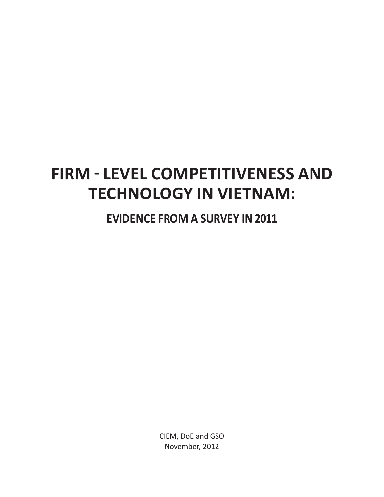# **FIRM - LEVEL COMPETITIVENESS AND TECHNOLOGY IN VIETNAM:**

**EVIDENCE FROM A SURVEY IN 2011** 

CIEM, DoE and GSO November, 2012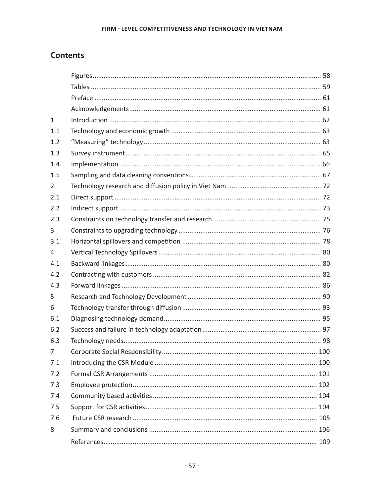# **Contents**

| $\mathbf{1}$   |  |
|----------------|--|
| 1.1            |  |
| 1.2            |  |
| 1.3            |  |
| 1.4            |  |
| 1.5            |  |
| $\overline{2}$ |  |
| 2.1            |  |
| 2.2            |  |
| 2.3            |  |
| 3              |  |
| 3.1            |  |
| 4              |  |
| 4.1            |  |
| 4.2            |  |
| 4.3            |  |
| 5              |  |
| 6              |  |
| 6.1            |  |
| 6.2            |  |
| 6.3            |  |
| $7^{\circ}$    |  |
| 7.1            |  |
| 7.2            |  |
| 7.3            |  |
| 7.4            |  |
| 7.5            |  |
| 7.6            |  |
| 8              |  |
|                |  |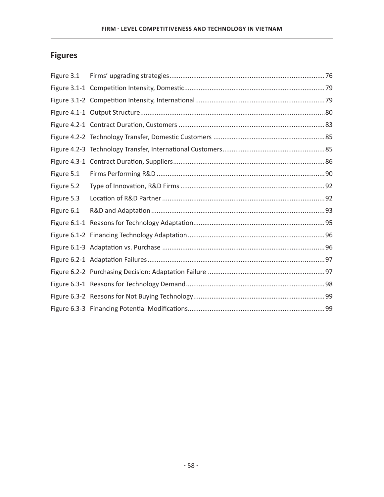# **Figures**

| Figure 3.1 |  |
|------------|--|
|            |  |
|            |  |
|            |  |
|            |  |
|            |  |
|            |  |
|            |  |
| Figure 5.1 |  |
| Figure 5.2 |  |
| Figure 5.3 |  |
| Figure 6.1 |  |
|            |  |
|            |  |
|            |  |
|            |  |
|            |  |
|            |  |
|            |  |
|            |  |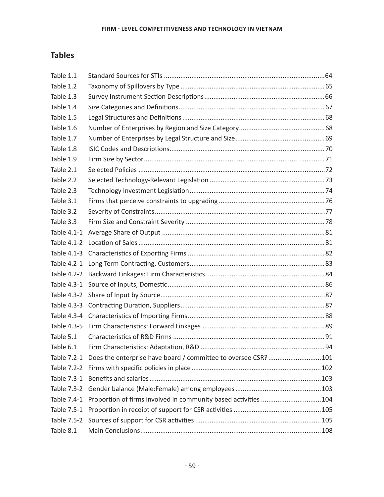# **Tables**

| Table 1.1   |                                                                            |  |
|-------------|----------------------------------------------------------------------------|--|
| Table 1.2   |                                                                            |  |
| Table 1.3   |                                                                            |  |
| Table 1.4   |                                                                            |  |
| Table 1.5   |                                                                            |  |
| Table 1.6   |                                                                            |  |
| Table 1.7   |                                                                            |  |
| Table 1.8   |                                                                            |  |
| Table 1.9   |                                                                            |  |
| Table 2.1   |                                                                            |  |
| Table 2.2   |                                                                            |  |
| Table 2.3   |                                                                            |  |
| Table 3.1   |                                                                            |  |
| Table 3.2   |                                                                            |  |
| Table 3.3   |                                                                            |  |
| Table 4.1-1 |                                                                            |  |
|             |                                                                            |  |
|             |                                                                            |  |
|             |                                                                            |  |
|             |                                                                            |  |
|             |                                                                            |  |
| Table 4.3-2 |                                                                            |  |
|             |                                                                            |  |
|             |                                                                            |  |
| Table 4.3-5 |                                                                            |  |
| Table 5.1   |                                                                            |  |
| Table 6.1   |                                                                            |  |
|             | Table 7.2-1 Does the enterprise have board / committee to oversee CSR? 101 |  |
| Table 7.2-2 |                                                                            |  |
| Table 7.3-1 |                                                                            |  |
| Table 7.3-2 |                                                                            |  |
| Table 7.4-1 | Proportion of firms involved in community based activities 104             |  |
| Table 7.5-1 |                                                                            |  |
| Table 7.5-2 |                                                                            |  |
| Table 8.1   |                                                                            |  |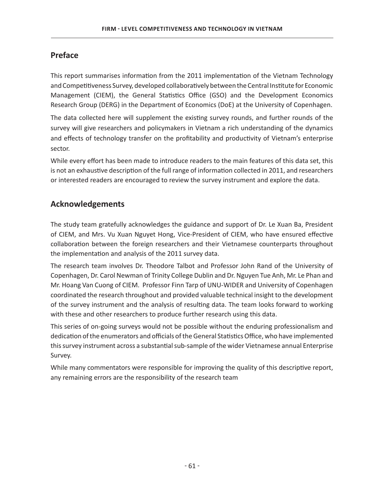# **Preface**

This report summarises information from the 2011 implementation of the Vietnam Technology and Competitiveness Survey, developed collaboratively between the Central Institute for Economic Management (CIEM), the General Statistics Office (GSO) and the Development Economics Research Group (DERG) in the Department of Economics (DoE) at the University of Copenhagen.

The data collected here will supplement the existing survey rounds, and further rounds of the survey will give researchers and policymakers in Vietnam a rich understanding of the dynamics and effects of technology transfer on the profitability and productivity of Vietnam's enterprise sector.

While every effort has been made to introduce readers to the main features of this data set, this is not an exhaustive description of the full range of information collected in 2011, and researchers or interested readers are encouraged to review the survey instrument and explore the data.

# **Acknowledgements**

The study team gratefully acknowledges the guidance and support of Dr. Le Xuan Ba, President of CIEM, and Mrs. Vu Xuan Nguyet Hong, Vice-President of CIEM, who have ensured effective collaboration between the foreign researchers and their Vietnamese counterparts throughout the implementation and analysis of the 2011 survey data.

The research team involves Dr. Theodore Talbot and Professor John Rand of the University of Copenhagen, Dr. Carol Newman of Trinity College Dublin and Dr. Nguyen Tue Anh, Mr. Le Phan and Mr. Hoang Van Cuong of CIEM. Professor Finn Tarp of UNU-WIDER and University of Copenhagen coordinated the research throughout and provided valuable technical insight to the development of the survey instrument and the analysis of resulting data. The team looks forward to working with these and other researchers to produce further research using this data.

This series of on-going surveys would not be possible without the enduring professionalism and dedication of the enumerators and officials of the General Statistics Office, who have implemented this survey instrument across a substantial sub-sample of the wider Vietnamese annual Enterprise Survey.

While many commentators were responsible for improving the quality of this descriptive report, any remaining errors are the responsibility of the research team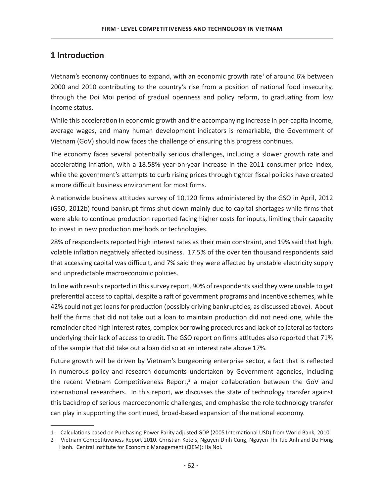# 1 Introduction

Vietnam's economy continues to expand, with an economic growth rate<sup>1</sup> of around 6% between 2000 and 2010 contributing to the country's rise from a position of national food insecurity, through the Doi Moi period of gradual openness and policy reform, to graduating from low income status.

While this acceleration in economic growth and the accompanying increase in per-capita income, average wages, and many human development indicators is remarkable, the Government of Vietnam (GoV) should now faces the challenge of ensuring this progress continues.

The economy faces several potentially serious challenges, including a slower growth rate and accelerating inflation, with a 18.58% year-on-year increase in the 2011 consumer price index, while the government's attempts to curb rising prices through tighter fiscal policies have created a more difficult business environment for most firms.

A nationwide business attitudes survey of 10,120 firms administered by the GSO in April, 2012 (GSO, 2012b) found bankrupt firms shut down mainly due to capital shortages while firms that were able to continue production reported facing higher costs for inputs, limiting their capacity to invest in new production methods or technologies.

28% of respondents reported high interest rates as their main constraint, and 19% said that high, volatile inflation negatively affected business. 17.5% of the over ten thousand respondents said that accessing capital was difficult, and 7% said they were affected by unstable electricity supply and unpredictable macroeconomic policies.

In line with results reported in this survey report, 90% of respondents said they were unable to get preferential access to capital, despite a raft of government programs and incentive schemes, while 42% could not get loans for production (possibly driving bankruptcies, as discussed above). About half the firms that did not take out a loan to maintain production did not need one, while the remainder cited high interest rates, complex borrowing procedures and lack of collateral as factors underlying their lack of access to credit. The GSO report on firms attitudes also reported that 71% of the sample that did take out a loan did so at an interest rate above 17%.

Future growth will be driven by Vietnam's burgeoning enterprise sector, a fact that is reflected in numerous policy and research documents undertaken by Government agencies, including the recent Vietnam Competitiveness Report,<sup>2</sup> a major collaboration between the GoV and international researchers. In this report, we discusses the state of technology transfer against this backdrop of serious macroeconomic challenges, and emphasise the role technology transfer can play in supporting the continued, broad-based expansion of the national economy.

<sup>1</sup> Calculations based on Purchasing-Power Parity adjusted GDP (2005 International USD) from World Bank, 2010

<sup>2</sup> Vietnam Competitiveness Report 2010. Christian Ketels, Nguyen Dinh Cung, Nguyen Thi Tue Anh and Do Hong Hanh. Central Institute for Economic Management (CIEM): Ha Noi.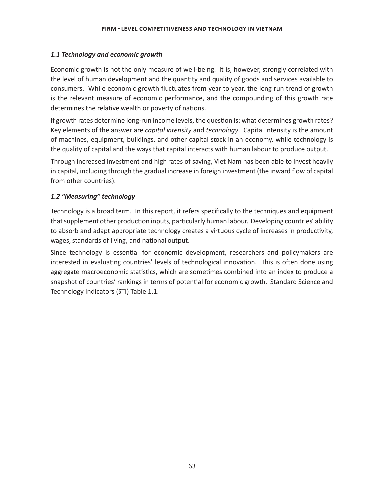## *1.1 Technology and economic growth*

Economic growth is not the only measure of well-being. It is, however, strongly correlated with the level of human development and the quantity and quality of goods and services available to consumers. While economic growth fluctuates from year to year, the long run trend of growth is the relevant measure of economic performance, and the compounding of this growth rate determines the relative wealth or poverty of nations.

If growth rates determine long-run income levels, the question is: what determines growth rates? Key elements of the answer are *capital intensity* and *technology*. Capital intensity is the amount of machines, equipment, buildings, and other capital stock in an economy, while technology is the quality of capital and the ways that capital interacts with human labour to produce output.

Through increased investment and high rates of saving, Viet Nam has been able to invest heavily in capital, including through the gradual increase in foreign investment (the inward flow of capital from other countries).

## *1.2 "Measuring" technology*

Technology is a broad term. In this report, it refers specifically to the techniques and equipment that supplement other production inputs, particularly human labour. Developing countries' ability to absorb and adapt appropriate technology creates a virtuous cycle of increases in productivity, wages, standards of living, and national output.

Since technology is essential for economic development, researchers and policymakers are interested in evaluating countries' levels of technological innovation. This is often done using aggregate macroeconomic statistics, which are sometimes combined into an index to produce a shapshot of countries' rankings in terms of potential for economic growth. Standard Science and Technology Indicators (STI) Table 1.1.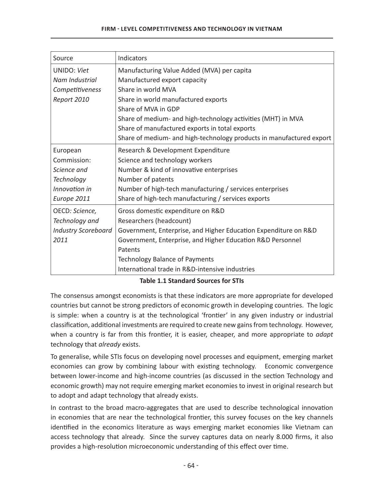#### **FIRM - LEVEL COMPETITIVENESS AND TECHNOLOGY IN VIETNAM**

| Source                     | Indicators                                                           |
|----------------------------|----------------------------------------------------------------------|
| <b>UNIDO: Viet</b>         |                                                                      |
|                            | Manufacturing Value Added (MVA) per capita                           |
| Nam Industrial             | Manufactured export capacity                                         |
| Competitiveness            | Share in world MVA                                                   |
| Report 2010                | Share in world manufactured exports                                  |
|                            | Share of MVA in GDP                                                  |
|                            | Share of medium- and high-technology activities (MHT) in MVA         |
|                            | Share of manufactured exports in total exports                       |
|                            | Share of medium- and high-technology products in manufactured export |
| European                   | Research & Development Expenditure                                   |
| Commission:                | Science and technology workers                                       |
| Science and                | Number & kind of innovative enterprises                              |
| Technology                 | Number of patents                                                    |
| Innovation in              | Number of high-tech manufacturing / services enterprises             |
| Europe 2011                | Share of high-tech manufacturing / services exports                  |
| OECD: Science,             | Gross domestic expenditure on R&D                                    |
| Technology and             | Researchers (headcount)                                              |
| <b>Industry Scoreboard</b> | Government, Enterprise, and Higher Education Expenditure on R&D      |
| 2011                       | Government, Enterprise, and Higher Education R&D Personnel           |
|                            | Patents                                                              |
|                            | <b>Technology Balance of Payments</b>                                |
|                            | International trade in R&D-intensive industries                      |
|                            |                                                                      |

#### **Table 1.1 Standard Sources for STIs**

The consensus amongst economists is that these indicators are more appropriate for developed countries but cannot be strong predictors of economic growth in developing countries. The logic is simple: when a country is at the technological 'frontier' in any given industry or industrial classification, additional investments are required to create new gains from technology. However, when a country is far from this frontier, it is easier, cheaper, and more appropriate to adapt technology that *already* exists.

To generalise, while STIs focus on developing novel processes and equipment, emerging market economies can grow by combining labour with existing technology. Economic convergence between lower-income and high-income countries (as discussed in the section Technology and economic growth) may not require emerging market economies to invest in original research but to adopt and adapt technology that already exists.

In contrast to the broad macro-aggregates that are used to describe technological innovation in economies that are near the technological frontier, this survey focuses on the key channels identified in the economics literature as ways emerging market economies like Vietnam can access technology that already. Since the survey captures data on nearly 8.000 firms, it also provides a high-resolution microeconomic understanding of this effect over time.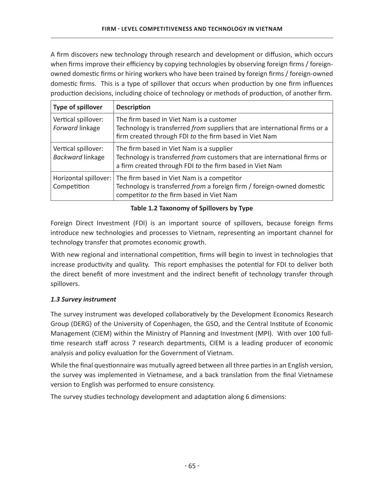A firm discovers new technology through research and development or diffusion, which occurs when firms improve their efficiency by copying technologies by observing foreign firms / foreignowned domestic firms or hiring workers who have been trained by foreign firms / foreign-owned domestic firms. This is a type of spillover that occurs when production by one firm influences production decisions, including choice of technology or methods of production, of another firm.

| Type of spillover                       | <b>Description</b>                                                                                                                                                                       |
|-----------------------------------------|------------------------------------------------------------------------------------------------------------------------------------------------------------------------------------------|
| Vertical spillover:<br>Forward linkage  | The firm based in Viet Nam is a customer<br>Technology is transferred from suppliers that are international firms or a<br>firm created through FDI to the firm based in Viet Nam         |
| Vertical spillover:<br>Backward linkage | The firm based in Viet Nam is a supplier<br>Technology is transferred from customers that are international firms or<br>a firm created through FDI to the firm based in Viet Nam         |
| Competition                             | Horizontal spillover:   The firm based in Viet Nam is a competitor<br>Technology is transferred from a foreign firm / foreign-owned domestic<br>competitor to the firm based in Viet Nam |

# Table 1.2 Taxonomy of Spillovers by Type

Foreign Direct Investment (FDI) is an important source of spillovers, because foreign firms introduce new technologies and processes to Vietnam, representing an important channel for technology transfer that promotes economic growth.

With new regional and international competition, firms will begin to invest in technologies that increase productivity and quality. This report emphasises the potential for FDI to deliver both the direct benefit of more investment and the indirect benefit of technology transfer through spillovers.

# *1.3 Survey instrument*

The survey instrument was developed collaboratively by the Development Economics Research Group (DERG) of the University of Copenhagen, the GSO, and the Central Institute of Economic Management (CIEM) within the Ministry of Planning and Investment (MPI). With over 100 fulltime research staff across 7 research departments, CIEM is a leading producer of economic analysis and policy evaluation for the Government of Vietnam.

While the final questionnaire was mutually agreed between all three parties in an English version, the survey was implemented in Vietnamese, and a back translation from the final Vietnamese version to English was performed to ensure consistency.

The survey studies technology development and adaptation along 6 dimensions: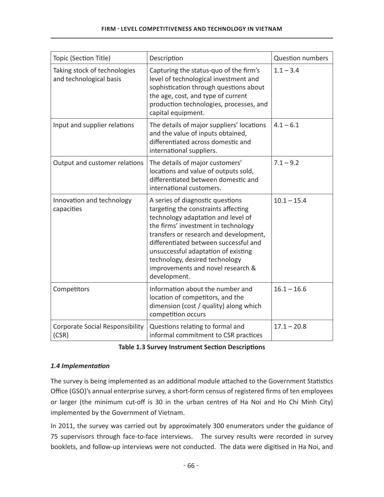| Topic (Section Title)                                   | Description                                                                                                                                                                                                                                                                                                                                                           | <b>Question numbers</b> |
|---------------------------------------------------------|-----------------------------------------------------------------------------------------------------------------------------------------------------------------------------------------------------------------------------------------------------------------------------------------------------------------------------------------------------------------------|-------------------------|
| Taking stock of technologies<br>and technological basis | Capturing the status-quo of the firm's<br>level of technological investment and<br>sophistication through questions about<br>the age, cost, and type of current<br>production technologies, processes, and<br>capital equipment.                                                                                                                                      | $1.1 - 3.4$             |
| Input and supplier relations                            | The details of major suppliers' locations<br>and the value of inputs obtained,<br>differentiated across domestic and<br>international suppliers.                                                                                                                                                                                                                      | $4.1 - 6.1$             |
| Output and customer relations                           | The details of major customers'<br>locations and value of outputs sold,<br>differentiated between domestic and<br>international customers.                                                                                                                                                                                                                            | $7.1 - 9.2$             |
| Innovation and technology<br>capacities                 | A series of diagnostic questions<br>targeting the constraints affecting<br>technology adaptation and level of<br>the firms' investment in technology<br>transfers or research and development,<br>differentiated between successful and<br>unsuccessful adaptation of existing<br>technology, desired technology<br>improvements and novel research &<br>development. | $10.1 - 15.4$           |
| Competitors                                             | Information about the number and<br>location of competitors, and the<br>dimension (cost / quality) along which<br>competition occurs                                                                                                                                                                                                                                  | $16.1 - 16.6$           |
| <b>Corporate Social Responsibility</b><br>(CSR)         | Questions relating to formal and<br>informal commitment to CSR practices                                                                                                                                                                                                                                                                                              | $17.1 - 20.8$           |

|  | <b>Table 1.3 Survey Instrument Section Descriptions</b> |  |
|--|---------------------------------------------------------|--|
|--|---------------------------------------------------------|--|

# 1.4 *Implementation*

The survey is being implemented as an additional module attached to the Government Statistics Office (GSO)'s annual enterprise survey, a short-form census of registered firms of ten employees or larger (the minimum cut-off is 30 in the urban centres of Ha Noi and Ho Chi Minh City) implemented by the Government of Vietnam.

In 2011, the survey was carried out by approximately 300 enumerators under the guidance of 75 supervisors through face-to-face interviews. The survey results were recorded in survey booklets, and follow-up interviews were not conducted. The data were digitised in Ha Noi, and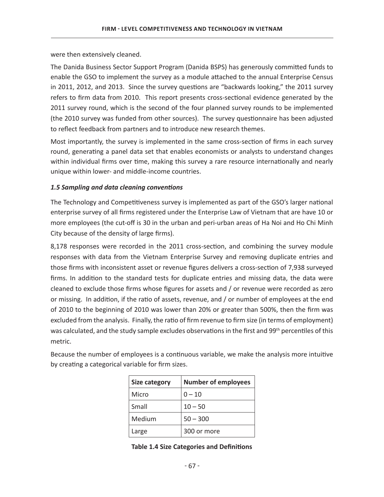were then extensively cleaned.

The Danida Business Sector Support Program (Danida BSPS) has generously committed funds to enable the GSO to implement the survey as a module attached to the annual Enterprise Census in 2011, 2012, and 2013. Since the survey questions are "backwards looking," the 2011 survey refers to firm data from 2010. This report presents cross-sectional evidence generated by the 2011 survey round, which is the second of the four planned survey rounds to be implemented (the 2010 survey was funded from other sources). The survey questionnaire has been adjusted to reflect feedback from partners and to introduce new research themes.

Most importantly, the survey is implemented in the same cross-section of firms in each survey round, generating a panel data set that enables economists or analysts to understand changes within individual firms over time, making this survey a rare resource internationally and nearly unique within lower- and middle-income countries.

#### 1.5 Sampling and data cleaning conventions

The Technology and Competitiveness survey is implemented as part of the GSO's larger national enterprise survey of all firms registered under the Enterprise Law of Vietnam that are have 10 or more employees (the cut-off is 30 in the urban and peri-urban areas of Ha Noi and Ho Chi Minh City because of the density of large firms).

8,178 responses were recorded in the 2011 cross-section, and combining the survey module responses with data from the Vietnam Enterprise Survey and removing duplicate entries and those firms with inconsistent asset or revenue figures delivers a cross-section of 7,938 surveyed firms. In addition to the standard tests for duplicate entries and missing data, the data were cleaned to exclude those firms whose figures for assets and / or revenue were recorded as zero or missing. In addition, if the ratio of assets, revenue, and / or number of employees at the end of 2010 to the beginning of 2010 was lower than 20% or greater than 500%, then the firm was excluded from the analysis. Finally, the ratio of firm revenue to firm size (in terms of employment) was calculated, and the study sample excludes observations in the first and 99<sup>th</sup> percentiles of this metric.

| <b>Size category</b> | <b>Number of employees</b> |  |  |
|----------------------|----------------------------|--|--|
| Micro                | $0 - 10$                   |  |  |
| Small                | $10 - 50$                  |  |  |
| Medium               | $50 - 300$                 |  |  |
| Large                | 300 or more                |  |  |

Because the number of employees is a continuous variable, we make the analysis more intuitive by creating a categorical variable for firm sizes.

|  | <b>Table 1.4 Size Categories and Definitions</b> |  |
|--|--------------------------------------------------|--|
|--|--------------------------------------------------|--|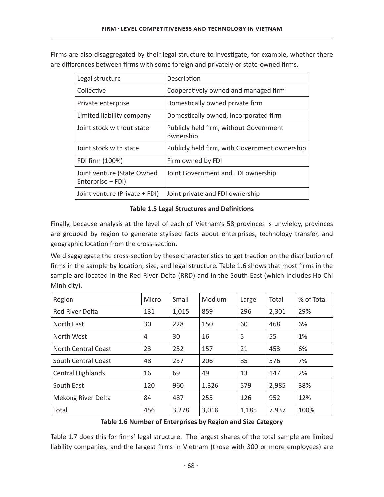| Legal structure                                 | Description                                         |
|-------------------------------------------------|-----------------------------------------------------|
| Collective                                      | Cooperatively owned and managed firm                |
| Private enterprise                              | Domestically owned private firm                     |
| Limited liability company                       | Domestically owned, incorporated firm               |
| Joint stock without state                       | Publicly held firm, without Government<br>ownership |
| Joint stock with state                          | Publicly held firm, with Government ownership       |
| FDI firm (100%)                                 | Firm owned by FDI                                   |
| Joint venture (State Owned<br>Enterprise + FDI) | Joint Government and FDI ownership                  |
| Joint venture (Private + FDI)                   | Joint private and FDI ownership                     |

Firms are also disaggregated by their legal structure to investigate, for example, whether there are differences between firms with some foreign and privately-or state-owned firms.

# **Table 1.5 Legal Structures and Definitions**

Finally, because analysis at the level of each of Vietnam's 58 provinces is unwieldy, provinces are grouped by region to generate stylised facts about enterprises, technology transfer, and geographic location from the cross-section.

We disaggregate the cross-section by these characteristics to get traction on the distribution of firms in the sample by location, size, and legal structure. Table 1.6 shows that most firms in the sample are located in the Red River Delta (RRD) and in the South East (which includes Ho Chi Minh city).

| Region                     | Micro | Small | Medium | Large | Total | % of Total |
|----------------------------|-------|-------|--------|-------|-------|------------|
| <b>Red River Delta</b>     | 131   | 1,015 | 859    | 296   | 2,301 | 29%        |
| North East                 | 30    | 228   | 150    | 60    | 468   | 6%         |
| North West                 | 4     | 30    | 16     | 5     | 55    | 1%         |
| <b>North Central Coast</b> | 23    | 252   | 157    | 21    | 453   | 6%         |
| South Central Coast        | 48    | 237   | 206    | 85    | 576   | 7%         |
| Central Highlands          | 16    | 69    | 49     | 13    | 147   | 2%         |
| South East                 | 120   | 960   | 1,326  | 579   | 2,985 | 38%        |
| Mekong River Delta         | 84    | 487   | 255    | 126   | 952   | 12%        |
| Total                      | 456   | 3,278 | 3,018  | 1,185 | 7.937 | 100%       |

#### Table 1.6 Number of Enterprises by Region and Size Category

Table 1.7 does this for firms' legal structure. The largest shares of the total sample are limited liability companies, and the largest firms in Vietnam (those with 300 or more employees) are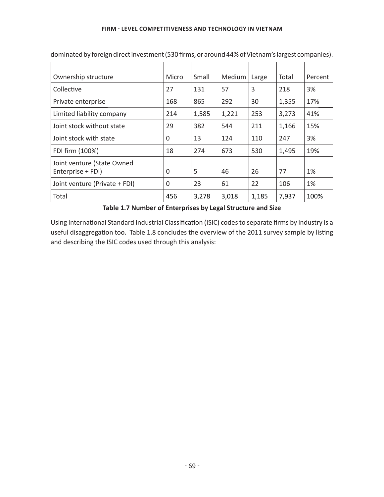| Ownership structure                             | Micro | Small | Medium | Large | Total | Percent |
|-------------------------------------------------|-------|-------|--------|-------|-------|---------|
| Collective                                      | 27    | 131   | 57     | 3     | 218   | 3%      |
| Private enterprise                              | 168   | 865   | 292    | 30    | 1,355 | 17%     |
| Limited liability company                       | 214   | 1,585 | 1,221  | 253   | 3,273 | 41%     |
| Joint stock without state                       | 29    | 382   | 544    | 211   | 1,166 | 15%     |
| Joint stock with state                          | 0     | 13    | 124    | 110   | 247   | 3%      |
| FDI firm (100%)                                 | 18    | 274   | 673    | 530   | 1,495 | 19%     |
| Joint venture (State Owned<br>Enterprise + FDI) | 0     | 5     | 46     | 26    | 77    | 1%      |
| Joint venture (Private + FDI)                   | 0     | 23    | 61     | 22    | 106   | 1%      |
| Total                                           | 456   | 3,278 | 3,018  | 1,185 | 7,937 | 100%    |

dominated by foreign direct investment (530 firms, or around 44% of Vietnam's largest companies).

#### Table 1.7 Number of Enterprises by Legal Structure and Size

Using International Standard Industrial Classification (ISIC) codes to separate firms by industry is a useful disaggregation too. Table 1.8 concludes the overview of the 2011 survey sample by listing and describing the ISIC codes used through this analysis: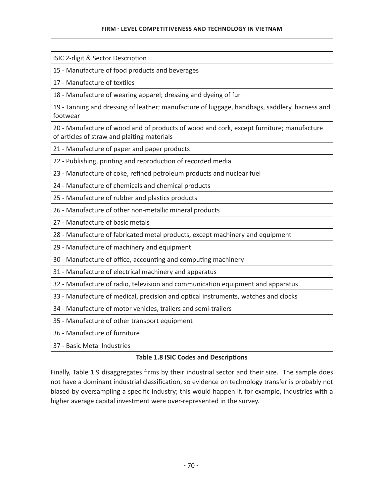ISIC 2-digit & Sector Description

15 - Manufacture of food products and beverages

17 - Manufacture of textiles

18 - Manufacture of wearing apparel; dressing and dyeing of fur

19 - Tanning and dressing of leather; manufacture of luggage, handbags, saddlery, harness and footwear

20 - Manufacture of wood and of products of wood and cork, except furniture; manufacture of articles of straw and plaiting materials

21 - Manufacture of paper and paper products

22 - Publishing, printing and reproduction of recorded media

23 - Manufacture of coke, refined petroleum products and nuclear fuel

24 - Manufacture of chemicals and chemical products

25 - Manufacture of rubber and plastics products

26 - Manufacture of other non-metallic mineral products

27 - Manufacture of basic metals

28 - Manufacture of fabricated metal products, except machinery and equipment

29 - Manufacture of machinery and equipment

30 - Manufacture of office, accounting and computing machinery

31 - Manufacture of electrical machinery and apparatus

32 - Manufacture of radio, television and communication equipment and apparatus

33 - Manufacture of medical, precision and optical instruments, watches and clocks

34 - Manufacture of motor vehicles, trailers and semi-trailers

35 - Manufacture of other transport equipment

36 - Manufacture of furniture

37 - Basic Metal Industries

#### **Table 1.8 ISIC Codes and Descriptions**

Finally, Table 1.9 disaggregates firms by their industrial sector and their size. The sample does not have a dominant industrial classification, so evidence on technology transfer is probably not biased by oversampling a specific industry; this would happen if, for example, industries with a higher average capital investment were over-represented in the survey.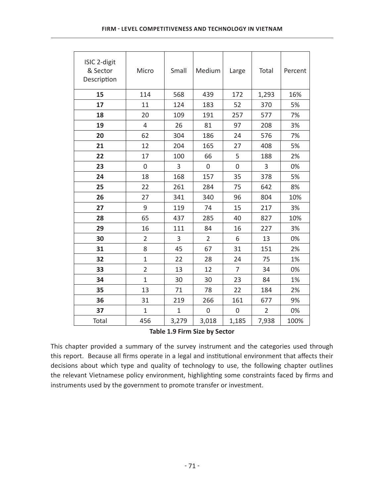| ISIC 2-digit<br>& Sector<br>Description | Micro          | Small          | Medium         | Large          | Total          | Percent |
|-----------------------------------------|----------------|----------------|----------------|----------------|----------------|---------|
| 15                                      | 114            | 568            | 439            | 172            | 1,293          | 16%     |
| 17                                      | 11             | 124            | 183            | 52             | 370            | 5%      |
| 18                                      | 20             | 109            | 191            | 257            | 577            | 7%      |
| 19                                      | $\overline{4}$ | 26             | 81             | 97             | 208            | 3%      |
| 20                                      | 62             | 304            | 186            | 24             | 576            | 7%      |
| 21                                      | 12             | 204            | 165            | 27             | 408            | 5%      |
| 22                                      | 17             | 100            | 66             | 5              | 188            | 2%      |
| 23                                      | 0              | 3              | $\mathbf 0$    | 0              | 3              | 0%      |
| 24                                      | 18             | 168            | 157            | 35             | 378            | 5%      |
| 25                                      | 22             | 261            | 284            | 75             | 642            | 8%      |
| 26                                      | 27             | 341            | 340            | 96             | 804            | 10%     |
| 27                                      | 9              | 119            | 74             | 15             | 217            | 3%      |
| 28                                      | 65             | 437            | 285            | 40             | 827            | 10%     |
| 29                                      | 16             | 111            | 84             | 16             | 227            | 3%      |
| 30                                      | $\overline{2}$ | 3              | $\overline{2}$ | 6              | 13             | 0%      |
| 31                                      | 8              | 45             | 67             | 31             | 151            | 2%      |
| 32                                      | $\mathbf{1}$   | 22             | 28             | 24             | 75             | 1%      |
| 33                                      | $\overline{2}$ | 13             | 12             | $\overline{7}$ | 34             | 0%      |
| 34                                      | $\overline{1}$ | 30             | 30             | 23             | 84             | 1%      |
| 35                                      | 13             | 71             | 78             | 22             | 184            | 2%      |
| 36                                      | 31             | 219            | 266            | 161            | 677            | 9%      |
| 37                                      | $\overline{1}$ | $\overline{1}$ | $\mathbf 0$    | $\overline{0}$ | $\overline{2}$ | 0%      |
| Total                                   | 456            | 3,279          | 3,018          | 1,185          | 7,938          | 100%    |

#### Table 1.9 Firm Size by Sector

This chapter provided a summary of the survey instrument and the categories used through this report. Because all firms operate in a legal and institutional environment that affects their decisions about which type and quality of technology to use, the following chapter outlines the relevant Vietnamese policy environment, highlighting some constraints faced by firms and instruments used by the government to promote transfer or investment.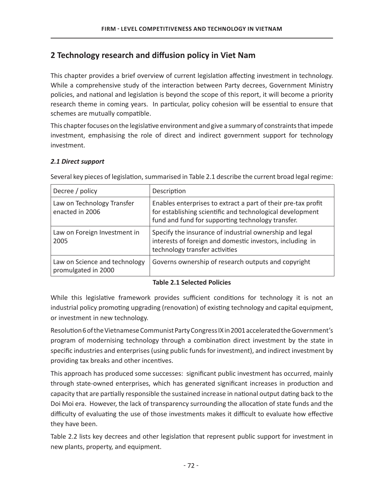# 2 Technology research and diffusion policy in Viet Nam

This chapter provides a brief overview of current legislation affecting investment in technology. While a comprehensive study of the interaction between Party decrees, Government Ministry policies, and national and legislation is beyond the scope of this report, it will become a priority research theme in coming years. In particular, policy cohesion will be essential to ensure that schemes are mutually compatible.

This chapter focuses on the legislative environment and give a summary of constraints that impede investment, emphasising the role of direct and indirect government support for technology investment.

#### *2.1 Direct support*

| Decree / policy                                      | Description                                                                                                                                                                     |
|------------------------------------------------------|---------------------------------------------------------------------------------------------------------------------------------------------------------------------------------|
| Law on Technology Transfer<br>enacted in 2006        | Enables enterprises to extract a part of their pre-tax profit<br>for establishing scientific and technological development<br>fund and fund for supporting technology transfer. |
| Law on Foreign Investment in<br>2005                 | Specify the insurance of industrial ownership and legal<br>interests of foreign and domestic investors, including in<br>technology transfer activities                          |
| Law on Science and technology<br>promulgated in 2000 | Governs ownership of research outputs and copyright                                                                                                                             |

Several key pieces of legislation, summarised in Table 2.1 describe the current broad legal regime:

#### **Table 2.1 Selected Policies**

While this legislative framework provides sufficient conditions for technology it is not an industrial policy promoting upgrading (renovation) of existing technology and capital equipment, or investment in new technology.

Resolution 6 of the Vietnamese Communist Party Congress IX in 2001 accelerated the Government's program of modernising technology through a combination direct investment by the state in specific industries and enterprises (using public funds for investment), and indirect investment by providing tax breaks and other incentives.

This approach has produced some successes: significant public investment has occurred, mainly through state-owned enterprises, which has generated significant increases in production and capacity that are partially responsible the sustained increase in national output dating back to the Doi Moi era. However, the lack of transparency surrounding the allocation of state funds and the difficulty of evaluating the use of those investments makes it difficult to evaluate how effective they have been.

Table 2.2 lists key decrees and other legislation that represent public support for investment in new plants, property, and equipment.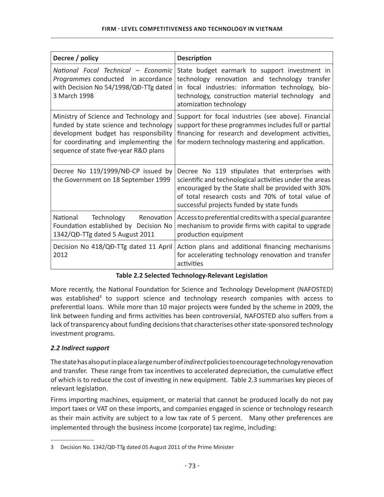| Decree / policy                                                                                                                                                                                             | <b>Description</b>                                                                                                                                                                                                                                                |  |  |
|-------------------------------------------------------------------------------------------------------------------------------------------------------------------------------------------------------------|-------------------------------------------------------------------------------------------------------------------------------------------------------------------------------------------------------------------------------------------------------------------|--|--|
| National Focal Technical - Economic<br>Programmes conducted in accordance<br>with Decision No 54/1998/QĐ-TTg dated<br>3 March 1998                                                                          | State budget earmark to support investment in<br>technology renovation and technology transfer<br>in focal industries: information technology, bio-<br>technology, construction material technology<br>and<br>atomization technology                              |  |  |
| Ministry of Science and Technology and<br>funded by state science and technology<br>development budget has responsibility<br>for coordinating and implementing the<br>sequence of state five-year R&D plans | Support for focal industries (see above). Financial<br>support for these programmes includes full or partial<br>financing for research and development activities,<br>for modern technology mastering and application.                                            |  |  |
| Decree No 119/1999/NĐ-CP issued by<br>the Government on 18 September 1999                                                                                                                                   | Decree No 119 stipulates that enterprises with<br>scientific and technological activities under the areas<br>encouraged by the State shall be provided with 30%<br>of total research costs and 70% of total value of<br>successful projects funded by state funds |  |  |
| Technology Renovation<br>National<br>Foundation established by Decision No<br>1342/QĐ-TTg dated 5 August 2011                                                                                               | Access to preferential credits with a special guarantee<br>mechanism to provide firms with capital to upgrade<br>production equipment                                                                                                                             |  |  |
| Decision No 418/QĐ-TTg dated 11 April<br>2012                                                                                                                                                               | Action plans and additional financing mechanisms<br>for accelerating technology renovation and transfer<br>activities                                                                                                                                             |  |  |

#### Table 2.2 Selected Technology-Relevant Legislation

More recently, the National Foundation for Science and Technology Development (NAFOSTED) was established<sup>3</sup> to support science and technology research companies with access to preferential loans. While more than 10 major projects were funded by the scheme in 2009, the link between funding and firms activities has been controversial, NAFOSTED also suffers from a lack of transparency about funding decisions that characterises other state-sponsored technology investment programs.

# 2.2 Indirect support

The state has also put in place a large number of *indirect* policies to encourage technology renovation and transfer. These range from tax incentives to accelerated depreciation, the cumulative effect of which is to reduce the cost of investing in new equipment. Table 2.3 summarises key pieces of relevant legislation.

Firms importing machines, equipment, or material that cannot be produced locally do not pay import taxes or VAT on these imports, and companies engaged in science or technology research as their main activity are subject to a low tax rate of 5 percent. Many other preferences are implemented through the business income (corporate) tax regime, including:

<sup>3</sup> Decision No. 1342/QĐ-TTg dated 05 August 2011 of the Prime Minister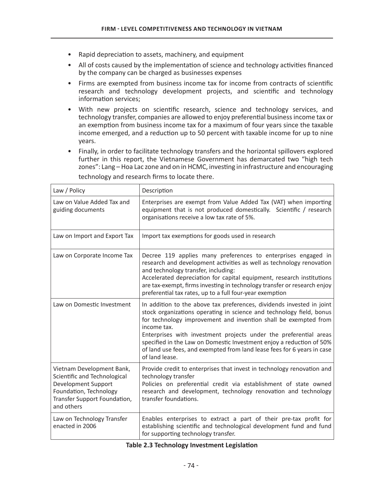- Rapid depreciation to assets, machinery, and equipment
- All of costs caused by the implementation of science and technology activities financed by the company can be charged as businesses expenses
- Firms are exempted from business income tax for income from contracts of scientific research and technology development projects, and scientific and technology information services;
- With new projects on scientific research, science and technology services, and technology transfer, companies are allowed to enjoy preferential business income tax or an exemption from business income tax for a maximum of four years since the taxable income emerged, and a reduction up to 50 percent with taxable income for up to nine years.
- Finally, in order to facilitate technology transfers and the horizontal spillovers explored further in this report, the Vietnamese Government has demarcated two "high tech zones": Lang – Hoa Lac zone and on in HCMC, investing in infrastructure and encouraging

| Law / Policy                                                                                                                                             | Description                                                                                                                                                                                                                                                                                                                                                                                                                                                               |
|----------------------------------------------------------------------------------------------------------------------------------------------------------|---------------------------------------------------------------------------------------------------------------------------------------------------------------------------------------------------------------------------------------------------------------------------------------------------------------------------------------------------------------------------------------------------------------------------------------------------------------------------|
| Law on Value Added Tax and<br>guiding documents                                                                                                          | Enterprises are exempt from Value Added Tax (VAT) when importing<br>equipment that is not produced domestically. Scientific / research<br>organisations receive a low tax rate of 5%.                                                                                                                                                                                                                                                                                     |
| Law on Import and Export Tax                                                                                                                             | Import tax exemptions for goods used in research                                                                                                                                                                                                                                                                                                                                                                                                                          |
| Law on Corporate Income Tax                                                                                                                              | Decree 119 applies many preferences to enterprises engaged in<br>research and development activities as well as technology renovation<br>and technology transfer, including:<br>Accelerated depreciation for capital equipment, research institutions<br>are tax-exempt, firms investing in technology transfer or research enjoy<br>preferential tax rates, up to a full four-year exemption                                                                             |
| Law on Domestic Investment                                                                                                                               | In addition to the above tax preferences, dividends invested in joint<br>stock organizations operating in science and technology field, bonus<br>for technology improvement and invention shall be exempted from<br>income tax.<br>Enterprises with investment projects under the preferential areas<br>specified in the Law on Domestic Investment enjoy a reduction of 50%<br>of land use fees, and exempted from land lease fees for 6 years in case<br>of land lease. |
| Vietnam Development Bank,<br>Scientific and Technological<br>Development Support<br>Foundation, Technology<br>Transfer Support Foundation,<br>and others | Provide credit to enterprises that invest in technology renovation and<br>technology transfer<br>Policies on preferential credit via establishment of state owned<br>research and development, technology renovation and technology<br>transfer foundations.                                                                                                                                                                                                              |
| Law on Technology Transfer<br>enacted in 2006                                                                                                            | Enables enterprises to extract a part of their pre-tax profit for<br>establishing scientific and technological development fund and fund<br>for supporting technology transfer.                                                                                                                                                                                                                                                                                           |

technology and research firms to locate there.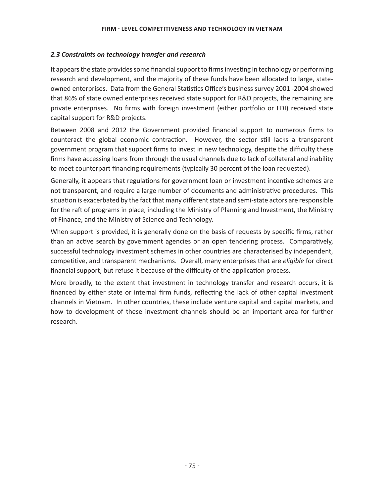## 2.3 Constraints on technology transfer and research

It appears the state provides some financial support to firms investing in technology or performing research and development, and the majority of these funds have been allocated to large, stateowned enterprises. Data from the General Statistics Office's business survey 2001-2004 showed that 86% of state owned enterprises received state support for R&D projects, the remaining are private enterprises. No firms with foreign investment (either portfolio or FDI) received state capital support for R&D projects.

Between 2008 and 2012 the Government provided financial support to numerous firms to counteract the global economic contraction. However, the sector still lacks a transparent government program that support firms to invest in new technology, despite the difficulty these firms have accessing loans from through the usual channels due to lack of collateral and inability to meet counterpart financing requirements (typically 30 percent of the loan requested).

Generally, it appears that regulations for government loan or investment incentive schemes are not transparent, and require a large number of documents and administrative procedures. This situation is exacerbated by the fact that many different state and semi-state actors are responsible for the raft of programs in place, including the Ministry of Planning and Investment, the Ministry of Finance, and the Ministry of Science and Technology.

When support is provided, it is generally done on the basis of requests by specific firms, rather than an active search by government agencies or an open tendering process. Comparatively, successful technology investment schemes in other countries are characterised by independent, competitive, and transparent mechanisms. Overall, many enterprises that are eligible for direct financial support, but refuse it because of the difficulty of the application process.

More broadly, to the extent that investment in technology transfer and research occurs, it is financed by either state or internal firm funds, reflecting the lack of other capital investment channels in Vietnam. In other countries, these include venture capital and capital markets, and how to development of these investment channels should be an important area for further research.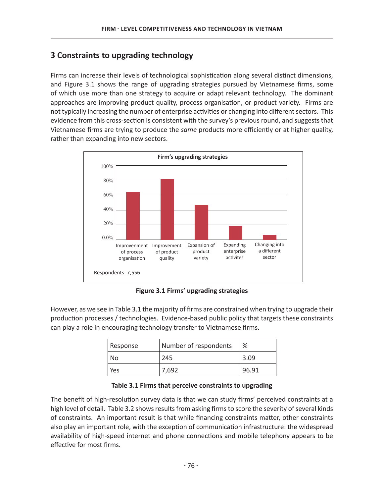# **3 Constraints to upgrading technology**

Firms can increase their levels of technological sophistication along several distinct dimensions, and Figure 3.1 shows the range of upgrading strategies pursued by Vietnamese firms, some of which use more than one strategy to acquire or adapt relevant technology. The dominant approaches are improving product quality, process organisation, or product variety. Firms are not typically increasing the number of enterprise activities or changing into different sectors. This evidence from this cross-section is consistent with the survey's previous round, and suggests that Vietnamese firms are trying to produce the *same* products more efficiently or at higher quality, rather than expanding into new sectors.



**Figure 3.1 Firms' upgrading strategies** 

However, as we see in Table 3.1 the majority of firms are constrained when trying to upgrade their production processes / technologies. Evidence-based public policy that targets these constraints can play a role in encouraging technology transfer to Vietnamese firms.

| Response | Number of respondents | %     |
|----------|-----------------------|-------|
| No       | 245                   | 3.09  |
| Yes      | 7.692                 | 96.91 |

Table 3.1 Firms that perceive constraints to upgrading

The benefit of high-resolution survey data is that we can study firms' perceived constraints at a high level of detail. Table 3.2 shows results from asking firms to score the severity of several kinds  $\overline{D}$  of constraints. An important result is that while financing constraints matter, other constraints also play an important role, with the exception of communication infrastructure: the widespread availability of high-speed internet and phone connections and mobile telephony appears to be effective for most firms.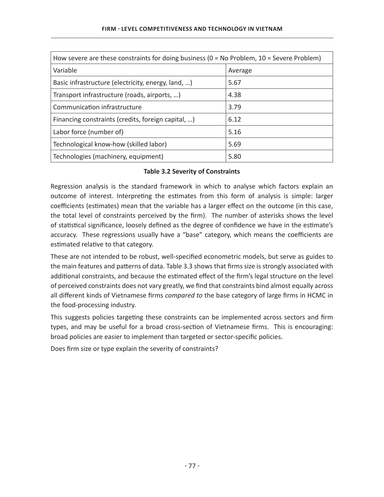| How severe are these constraints for doing business ( $0 = No$ Problem, $10 =$ Severe Problem) |         |  |  |
|------------------------------------------------------------------------------------------------|---------|--|--|
| Variable                                                                                       | Average |  |  |
| Basic infrastructure (electricity, energy, land, )                                             | 5.67    |  |  |
| Transport infrastructure (roads, airports, )                                                   | 4.38    |  |  |
| Communication infrastructure                                                                   | 3.79    |  |  |
| Financing constraints (credits, foreign capital, )                                             | 6.12    |  |  |
| Labor force (number of)                                                                        | 5.16    |  |  |
| Technological know-how (skilled labor)                                                         | 5.69    |  |  |
| Technologies (machinery, equipment)                                                            | 5.80    |  |  |

#### **Table 3.2 Severity of Constraints**

Regression analysis is the standard framework in which to analyse which factors explain an outcome of interest. Interpreting the estimates from this form of analysis is simple: larger coefficients (estimates) mean that the variable has a larger effect on the outcome (in this case, the total level of constraints perceived by the firm). The number of asterisks shows the level of statistical significance, loosely defined as the degree of confidence we have in the estimate's accuracy. These regressions usually have a "base" category, which means the coefficients are estimated relative to that category.

These are not intended to be robust, well-specified econometric models, but serve as guides to the main features and patterns of data. Table 3.3 shows that firms size is strongly associated with additional constraints, and because the estimated effect of the firm's legal structure on the level of perceived constraints does not vary greatly, we find that constraints bind almost equally across all different kinds of Vietnamese firms *compared to* the base category of large firms in HCMC in the food-processing industry.

This suggests policies targeting these constraints can be implemented across sectors and firm types, and may be useful for a broad cross-section of Vietnamese firms. This is encouraging: broad policies are easier to implement than targeted or sector-specific policies.

Does firm size or type explain the severity of constraints?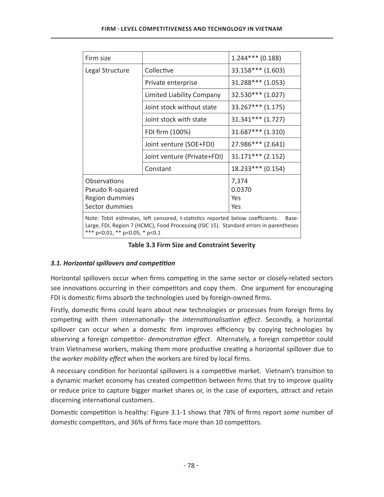| Firm size                                                                                                                                                                                                            |                             | $1.244***$ (0.188)            |  |  |
|----------------------------------------------------------------------------------------------------------------------------------------------------------------------------------------------------------------------|-----------------------------|-------------------------------|--|--|
| Legal Structure                                                                                                                                                                                                      | Collective                  | 33.158*** (1.603)             |  |  |
|                                                                                                                                                                                                                      | Private enterprise          | $31.288***$ (1.053)           |  |  |
|                                                                                                                                                                                                                      | Limited Liability Company   | 32.530*** (1.027)             |  |  |
|                                                                                                                                                                                                                      | Joint stock without state   | 33.267*** (1.175)             |  |  |
|                                                                                                                                                                                                                      | Joint stock with state      | $31.341***$ (1.727)           |  |  |
|                                                                                                                                                                                                                      | FDI firm (100%)             | $31.687***$ (1.310)           |  |  |
|                                                                                                                                                                                                                      | Joint venture (SOE+FDI)     | 27.986*** (2.641)             |  |  |
|                                                                                                                                                                                                                      | Joint venture (Private+FDI) | $31.171***$ (2.152)           |  |  |
|                                                                                                                                                                                                                      | Constant                    | $18.233***$ (0.154)           |  |  |
| Observations<br>Pseudo R-squared<br>Region dummies<br>Sector dummies                                                                                                                                                 |                             | 7,374<br>0.0370<br>Yes<br>Yes |  |  |
| Note: Tobit estimates, left censored, t-statistics reported below coefficients.<br>Base:<br>Large, FDI, Region 7 (HCMC), Food Processing (ISIC 15). Standard errors in parentheses<br>*** p<0.01, ** p<0.05, * p<0.1 |                             |                               |  |  |

#### Table 3.3 Firm Size and Constraint Severity

# 3.1. Horizontal spillovers and competition

Horizontal spillovers occur when firms competing in the same sector or closely-related sectors see innovations occurring in their competitors and copy them. One argument for encouraging FDI is domestic firms absorb the technologies used by foreign-owned firms.

Firstly, domestic firms could learn about new technologies or processes from foreign firms by competing with them internationally- the internationalisation effect. Secondly, a horizontal spillover can occur when a domestic firm improves efficiency by copying technologies by observing a foreign competitor- *demonstration effect*. Alternately, a foreign competitor could train Vietnamese workers, making them more productive creating a horizontal spillover due to the worker mobility effect when the workers are hired by local firms.

A necessary condition for horizontal spillovers is a competitive market. Vietnam's transition to a dynamic market economy has created competition between firms that try to improve quality or reduce price to capture bigger market shares or, in the case of exporters, attract and retain discerning international customers.

Domestic competition is healthy: Figure 3.1-1 shows that 78% of firms report some number of domestic competitors, and 36% of firms face more than 10 competitors.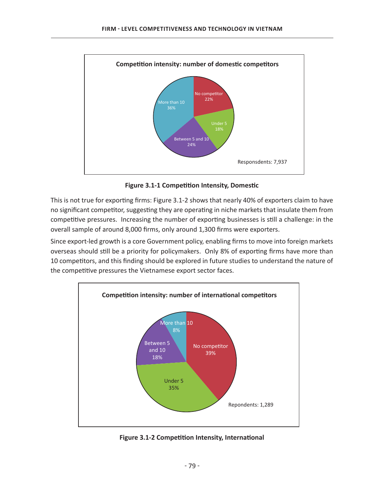

**Figure 3.1-1 Competition Intensity, Domestic** 

This is not true for exporting firms: Figure 3.1-2 shows that nearly 40% of exporters claim to have no significant competitor, suggesting they are operating in niche markets that insulate them from competitive pressures. Increasing the number of exporting businesses is still a challenge: in the overall sample of around 8,000 firms, only around 1,300 firms were exporters.

Since export-led growth is a core Government policy, enabling firms to move into foreign markets overseas should still be a priority for policymakers. Only 8% of exporting firms have more than 10 competitors, and this finding should be explored in future studies to understand the nature of the competitive pressures the Vietnamese export sector faces.



**Figure 3.1-2 Competition Intensity, International**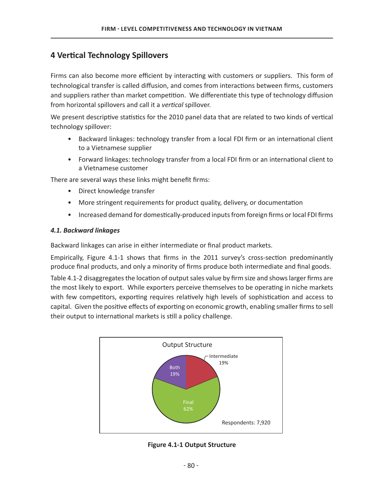# **4 Vertical Technology Spillovers**

Firms can also become more efficient by interacting with customers or suppliers. This form of technological transfer is called diffusion, and comes from interactions between firms, customers and suppliers rather than market competition. We differentiate this type of technology diffusion from horizontal spillovers and call it a *vertical* spillover.

We present descriptive statistics for the 2010 panel data that are related to two kinds of vertical technology spillover:

- Backward linkages: technology transfer from a local FDI firm or an international client to a Vietnamese supplier
- Forward linkages: technology transfer from a local FDI firm or an international client to a Vietnamese customer

There are several ways these links might benefit firms:

- Direct knowledge transfer
- More stringent requirements for product quality, delivery, or documentation
- Increased demand for domestically-produced inputs from foreign firms or local FDI firms

#### *4.1. Backward linkages*

Backward linkages can arise in either intermediate or final product markets.

Empirically, Figure 4.1-1 shows that firms in the 2011 survey's cross-section predominantly produce final products, and only a minority of firms produce both intermediate and final goods.

Table 4.1-2 disaggregates the location of output sales value by firm size and shows larger firms are the most likely to export. While exporters perceive themselves to be operating in niche markets with few competitors, exporting requires relatively high levels of sophistication and access to capital. Given the positive effects of exporting on economic growth, enabling smaller firms to sell their output to international markets is still a policy challenge.



**Figure 4.1-1 Output Structure**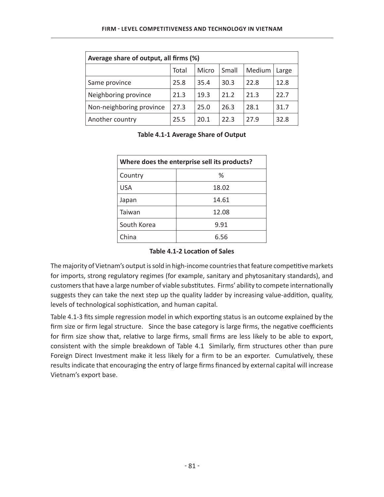| Average share of output, all firms (%) |       |       |       |        |       |
|----------------------------------------|-------|-------|-------|--------|-------|
|                                        | Total | Micro | Small | Medium | Large |
| Same province                          | 25.8  | 35.4  | 30.3  | 22.8   | 12.8  |
| Neighboring province                   | 21.3  | 19.3  | 21.2  | 21.3   | 22.7  |
| Non-neighboring province               | 27.3  | 25.0  | 26.3  | 28.1   | 31.7  |
| Another country                        | 25.5  | 20.1  | 22.3  | 27.9   | 32.8  |

#### Table 4.1-1 Average Share of Output

| Where does the enterprise sell its products? |       |  |
|----------------------------------------------|-------|--|
| Country                                      | ℅     |  |
| <b>USA</b>                                   | 18.02 |  |
| Japan                                        | 14.61 |  |
| Taiwan                                       | 12.08 |  |
| South Korea                                  | 9.91  |  |
| China                                        | 6.56  |  |

#### **Table 4.1-2 Location of Sales**

The majority of Vietnam's output is sold in high-income countries that feature competitive markets for imports, strong regulatory regimes (for example, sanitary and phytosanitary standards), and customers that have a large number of viable substitutes. Firms' ability to compete internationally suggests they can take the next step up the quality ladder by increasing value-addition, quality, levels of technological sophistication, and human capital.

Table 4.1-3 fits simple regression model in which exporting status is an outcome explained by the firm size or firm legal structure. Since the base category is large firms, the negative coefficients for firm size show that, relative to large firms, small firms are less likely to be able to export, consistent with the simple breakdown of Table 4.1 Similarly, firm structures other than pure Foreign Direct Investment make it less likely for a firm to be an exporter. Cumulatively, these results indicate that encouraging the entry of large firms financed by external capital will increase Vietnam's export base.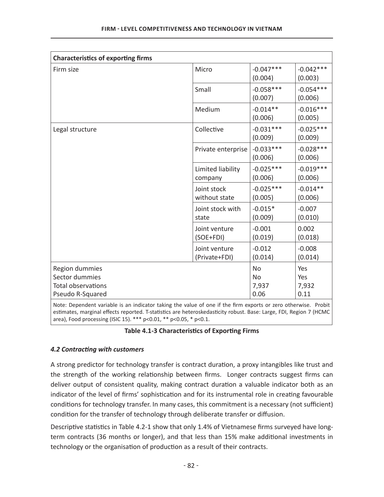| <b>Characteristics of exporting firms</b>                                                                      |                                |                        |                        |
|----------------------------------------------------------------------------------------------------------------|--------------------------------|------------------------|------------------------|
| Firm size                                                                                                      | Micro                          | $-0.047***$<br>(0.004) | $-0.042***$<br>(0.003) |
|                                                                                                                | Small                          | $-0.058***$<br>(0.007) | $-0.054***$<br>(0.006) |
|                                                                                                                | Medium                         | $-0.014**$<br>(0.006)  | $-0.016***$<br>(0.005) |
| Legal structure                                                                                                | Collective                     | $-0.031***$<br>(0.009) | $-0.025***$<br>(0.009) |
|                                                                                                                | Private enterprise             | $-0.033***$<br>(0.006) | $-0.028***$<br>(0.006) |
|                                                                                                                | Limited liability<br>company   | $-0.025***$<br>(0.006) | $-0.019***$<br>(0.006) |
|                                                                                                                | Joint stock<br>without state   | $-0.025***$<br>(0.005) | $-0.014**$<br>(0.006)  |
|                                                                                                                | Joint stock with<br>state      | $-0.015*$<br>(0.009)   | $-0.007$<br>(0.010)    |
|                                                                                                                | Joint venture<br>(SOE+FDI)     | $-0.001$<br>(0.019)    | 0.002<br>(0.018)       |
|                                                                                                                | Joint venture<br>(Private+FDI) | $-0.012$<br>(0.014)    | $-0.008$<br>(0.014)    |
| Region dummies                                                                                                 |                                | <b>No</b>              | Yes                    |
| Sector dummies                                                                                                 |                                | <b>No</b>              | Yes                    |
| <b>Total observations</b>                                                                                      |                                | 7,937                  | 7,932                  |
| Pseudo R-Squared                                                                                               |                                | 0.06                   | 0.11                   |
| Note: Dependent variable is an indicator taking the value of ane if the firm oversts or zero otherwise. Drebit |                                |                        |                        |

Note: Dependent variable is an indicator taking the value of one if the firm exports or zero otherwise. Probit estimates, marginal effects reported. T-statistics are heteroskedasticity robust. Base: Large, FDI, Region 7 (HCMC area), Food processing (ISIC 15). \*\*\*  $p<0.01$ , \*\*  $p<0.05$ , \*  $p<0.1$ .

# Table 4.1-3 Characteristics of Exporting Firms

# **4.2 Contracting with customers**

A strong predictor for technology transfer is contract duration, a proxy intangibles like trust and the strength of the working relationship between firms. Longer contracts suggest firms can deliver output of consistent quality, making contract duration a valuable indicator both as an indicator of the level of firms' sophistication and for its instrumental role in creating favourable conditions for technology transfer. In many cases, this commitment is a necessary (not sufficient) condition for the transfer of technology through deliberate transfer or diffusion.

Descriptive statistics in Table 4.2-1 show that only 1.4% of Vietnamese firms surveyed have longterm contracts (36 months or longer), and that less than 15% make additional investments in technology or the organisation of production as a result of their contracts.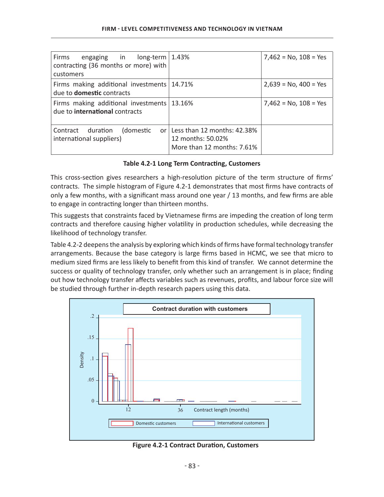| Firms<br>engaging in $long-term \mid 1.43\%$<br>contracting (36 months or more) with<br>customers |                                                                                     | $7,462 = No, 108 = Yes$ |
|---------------------------------------------------------------------------------------------------|-------------------------------------------------------------------------------------|-------------------------|
| Firms making additional investments   14.71%<br>due to <b>domestic</b> contracts                  |                                                                                     | $2,639 = No, 400 = Yes$ |
| Firms making additional investments   13.16%<br>due to <b>international</b> contracts             |                                                                                     | $7,462 = No, 108 = Yes$ |
| Contract duration<br>(domestic<br>international suppliers)                                        | or Less than 12 months: $42.38%$<br>12 months: 50.02%<br>More than 12 months: 7.61% |                         |

#### Table 4.2-1 Long Term Contracting, Customers

This cross-section gives researchers a high-resolution picture of the term structure of firms' contracts. The simple histogram of Figure 4.2-1 demonstrates that most firms have contracts of only a few months, with a significant mass around one year / 13 months, and few firms are able to engage in contracting longer than thirteen months.

This suggests that constraints faced by Vietnamese firms are impeding the creation of long term contracts and therefore causing higher volatility in production schedules, while decreasing the likelihood of technology transfer.

Table 4.2-2 deepens the analysis by exploring which kinds of firms have formal technology transfer arrangements. Because the base category is large firms based in HCMC, we see that micro to medium sized firms are less likely to benefit from this kind of transfer. We cannot determine the success or quality of technology transfer, only whether such an arrangement is in place; finding out how technology transfer affects variables such as revenues, profits, and labour force size will be studied through further in-depth research papers using this data.



**Figure 4.2-1 Contract Duration, Customers**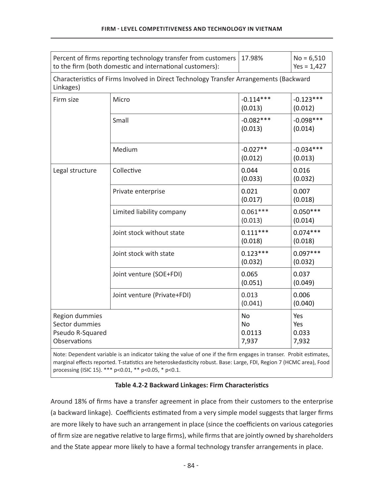|                                                                      | Percent of firms reporting technology transfer from customers<br>to the firm (both domestic and international customers): | 17.98%                                    | $No = 6,510$<br>$Yes = 1,427$ |
|----------------------------------------------------------------------|---------------------------------------------------------------------------------------------------------------------------|-------------------------------------------|-------------------------------|
| Linkages)                                                            | Characteristics of Firms Involved in Direct Technology Transfer Arrangements (Backward                                    |                                           |                               |
| Firm size                                                            | Micro                                                                                                                     | $-0.114***$<br>(0.013)                    | $-0.123***$<br>(0.012)        |
|                                                                      | Small                                                                                                                     | $-0.082***$<br>(0.013)                    | $-0.098***$<br>(0.014)        |
|                                                                      | Medium                                                                                                                    | $-0.027**$<br>(0.012)                     | $-0.034***$<br>(0.013)        |
| Legal structure                                                      | Collective                                                                                                                | 0.044<br>(0.033)                          | 0.016<br>(0.032)              |
|                                                                      | Private enterprise                                                                                                        | 0.021<br>(0.017)                          | 0.007<br>(0.018)              |
|                                                                      | Limited liability company                                                                                                 | $0.061***$<br>(0.013)                     | $0.050***$<br>(0.014)         |
|                                                                      | Joint stock without state                                                                                                 | $0.111***$<br>(0.018)                     | $0.074***$<br>(0.018)         |
|                                                                      | Joint stock with state                                                                                                    | $0.123***$<br>(0.032)                     | $0.097***$<br>(0.032)         |
|                                                                      | Joint venture (SOE+FDI)                                                                                                   | 0.065<br>(0.051)                          | 0.037<br>(0.049)              |
|                                                                      | Joint venture (Private+FDI)                                                                                               | 0.013<br>(0.041)                          | 0.006<br>(0.040)              |
| Region dummies<br>Sector dummies<br>Pseudo R-Squared<br>Observations |                                                                                                                           | <b>No</b><br><b>No</b><br>0.0113<br>7,937 | Yes<br>Yes<br>0.033<br>7,932  |

Note: Dependent variable is an indicator taking the value of one if the firm engages in transer. Probit estimates, marginal effects reported. T-statistics are heteroskedasticity robust. Base: Large, FDI, Region 7 (HCMC area), Food processing (ISIC 15). \*\*\* p<0.01, \*\* p<0.05, \* p<0.1.

#### Table 4.2-2 Backward Linkages: Firm Characteristics

Around 18% of firms have a transfer agreement in place from their customers to the enterprise (a backward linkage). Coefficients estimated from a very simple model suggests that larger firms are more likely to have such an arrangement in place (since the coefficients on various categories of firm size are negative relative to large firms), while firms that are jointly owned by shareholders and the State appear more likely to have a formal technology transfer arrangements in place.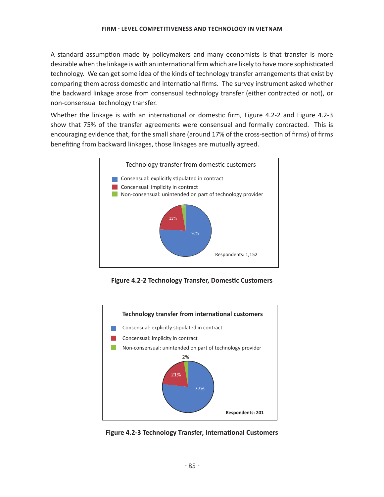A standard assumption made by policymakers and many economists is that transfer is more desirable when the linkage is with an international firm which are likely to have more sophisticated technology. We can get some idea of the kinds of technology transfer arrangements that exist by comparing them across domestic and international firms. The survey instrument asked whether the backward linkage arose from consensual technology transfer (either contracted or not), or non-consensual technology transfer.

Whether the linkage is with an international or domestic firm, Figure 4.2-2 and Figure 4.2-3 show that 75% of the transfer agreements were consensual and formally contracted. This is encouraging evidence that, for the small share (around 17% of the cross-section of firms) of firms benefiting from backward linkages, those linkages are mutually agreed.



Figure 4.2-2 Technology Transfer, Domestic Customers



Figure 4.2-3 Technology Transfer, International Customers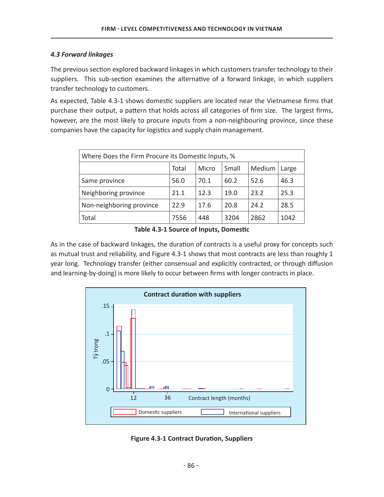#### *4.3 Forward linkages*

The previous section explored backward linkages in which customers transfer technology to their suppliers. This sub-section examines the alternative of a forward linkage, in which suppliers transfer technology to customers.

As expected, Table 4.3-1 shows domestic suppliers are located near the Vietnamese firms that purchase their output, a pattern that holds across all categories of firm size. The largest firms, however, are the most likely to procure inputs from a non-neighbouring province, since these companies have the capacity for logistics and supply chain management.

| Where Does the Firm Procure its Domestic Inputs, % |      |      |      |      |      |  |  |
|----------------------------------------------------|------|------|------|------|------|--|--|
| Medium<br>Total<br>Small<br>Micro<br>Large         |      |      |      |      |      |  |  |
| Same province                                      | 56.0 | 70.1 | 60.2 | 52.6 | 46.3 |  |  |
| Neighboring province                               | 21.1 | 12.3 | 19.0 | 23.2 | 25.3 |  |  |
| Non-neighboring province                           | 22.9 | 17.6 | 20.8 | 24.2 | 28.5 |  |  |
| Total                                              | 7556 | 448  | 3204 | 2862 | 1042 |  |  |

Table 4.3-1 Source of Inputs, Domestic

As in the case of backward linkages, the duration of contracts is a useful proxy for concepts such as mutual trust and reliability, and Figure 4.3-1 shows that most contracts are less than roughly 1 year long. Technology transfer (either consensual and explicitly contracted, or through diffusion and learning-by-doing) is more likely to occur between firms with longer contracts in place.



**Figure 4.3-1 Contract Duration, Suppliers**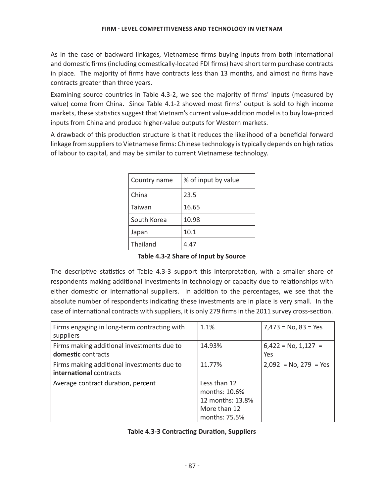As in the case of backward linkages, Vietnamese firms buying inputs from both international and domestic firms (including domestically-located FDI firms) have short term purchase contracts in place. The majority of firms have contracts less than 13 months, and almost no firms have contracts greater than three years.

Examining source countries in Table 4.3-2, we see the majority of firms' inputs (measured by value) come from China. Since Table 4.1-2 showed most firms' output is sold to high income markets, these statistics suggest that Vietnam's current value-addition model is to buy low-priced inputs from China and produce higher-value outputs for Western markets.

A drawback of this production structure is that it reduces the likelihood of a beneficial forward linkage from suppliers to Vietnamese firms: Chinese technology is typically depends on high ratios of labour to capital, and may be similar to current Vietnamese technology.

| Country name | % of input by value |
|--------------|---------------------|
| China        | 23.5                |
| Taiwan       | 16.65               |
| South Korea  | 10.98               |
| Japan        | 10.1                |
| Thailand     | 4.47                |

Table 4.3-2 Share of Input by Source

The descriptive statistics of Table 4.3-3 support this interpretation, with a smaller share of respondents making additional investments in technology or capacity due to relationships with either domestic or international suppliers. In addition to the percentages, we see that the absolute number of respondents indicating these investments are in place is very small. In the case of international contracts with suppliers, it is only 279 firms in the 2011 survey cross-section.

| Firms engaging in long-term contracting with<br>suppliers             | 1.1%                                                                               | $7,473 = No, 83 = Yes$       |
|-----------------------------------------------------------------------|------------------------------------------------------------------------------------|------------------------------|
| Firms making additional investments due to<br>domestic contracts      | 14.93%                                                                             | $6,422 = No, 1,127 =$<br>Yes |
| Firms making additional investments due to<br>international contracts | 11.77%                                                                             | $2,092 = No, 279 = Yes$      |
| Average contract duration, percent                                    | Less than 12<br>months: 10.6%<br>12 months: 13.8%<br>More than 12<br>months: 75.5% |                              |

# **Table 4.3-3 Contracting Duration, Suppliers**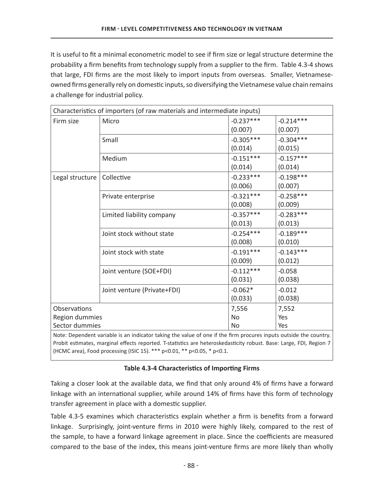It is useful to fit a minimal econometric model to see if firm size or legal structure determine the probability a firm benefits from technology supply from a supplier to the firm. Table 4.3-4 shows that large, FDI firms are the most likely to import inputs from overseas. Smaller, Vietnameseowned firms generally rely on domestic inputs, so diversifying the Vietnamese value chain remains a challenge for industrial policy.

| Characteristics of importers (of raw materials and intermediate inputs) |                             |             |             |  |  |
|-------------------------------------------------------------------------|-----------------------------|-------------|-------------|--|--|
| Firm size                                                               | Micro                       | $-0.237***$ | $-0.214***$ |  |  |
|                                                                         |                             | (0.007)     | (0.007)     |  |  |
|                                                                         | Small                       | $-0.305***$ | $-0.304***$ |  |  |
|                                                                         |                             | (0.014)     | (0.015)     |  |  |
|                                                                         | Medium                      | $-0.151***$ | $-0.157***$ |  |  |
|                                                                         |                             | (0.014)     | (0.014)     |  |  |
| Legal structure                                                         | Collective                  | $-0.233***$ | $-0.198***$ |  |  |
|                                                                         |                             | (0.006)     | (0.007)     |  |  |
|                                                                         | Private enterprise          | $-0.321***$ | $-0.258***$ |  |  |
|                                                                         |                             | (0.008)     | (0.009)     |  |  |
|                                                                         | Limited liability company   | $-0.357***$ | $-0.283***$ |  |  |
|                                                                         |                             | (0.013)     | (0.013)     |  |  |
|                                                                         | Joint stock without state   | $-0.254***$ | $-0.189***$ |  |  |
|                                                                         |                             | (0.008)     | (0.010)     |  |  |
|                                                                         | Joint stock with state      | $-0.191***$ | $-0.143***$ |  |  |
|                                                                         |                             | (0.009)     | (0.012)     |  |  |
|                                                                         | Joint venture (SOE+FDI)     | $-0.112***$ | $-0.058$    |  |  |
|                                                                         |                             | (0.031)     | (0.038)     |  |  |
|                                                                         | Joint venture (Private+FDI) | $-0.062*$   | $-0.012$    |  |  |
|                                                                         |                             | (0.033)     | (0.038)     |  |  |
| Observations                                                            |                             | 7,556       | 7,552       |  |  |
| Region dummies                                                          |                             | <b>No</b>   | Yes         |  |  |
| Sector dummies                                                          |                             | No          | Yes         |  |  |

Note: Dependent variable is an indicator taking the value of one if the firm procures inputs outside the country. Probit estimates, marginal effects reported. T-statistics are heteroskedasticity robust. Base: Large, FDI, Region 7 (HCMC area), Food processing (ISIC 15). \*\*\* p<0.01, \*\* p<0.05, \* p<0.1.

# Table 4.3-4 Characteristics of Importing Firms

Taking a closer look at the available data, we find that only around 4% of firms have a forward linkage with an international supplier, while around 14% of firms have this form of technology transfer agreement in place with a domestic supplier.

Table 4.3-5 examines which characteristics explain whether a firm is benefits from a forward linkage. Surprisingly, joint-venture firms in 2010 were highly likely, compared to the rest of the sample, to have a forward linkage agreement in place. Since the coefficients are measured compared to the base of the index, this means joint-venture firms are more likely than wholly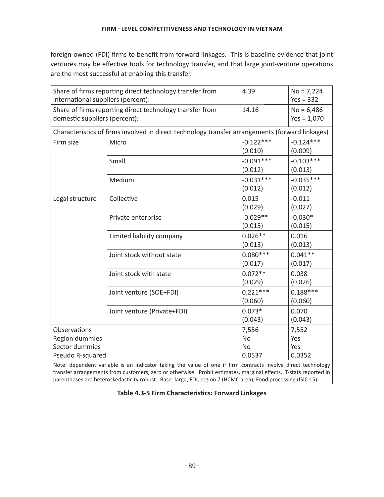foreign-owned (FDI) firms to benefit from forward linkages. This is baseline evidence that joint ventures may be effective tools for technology transfer, and that large joint-venture operations are the most successful at enabling this transfer.

| international suppliers (percent):                                                        | Share of firms reporting direct technology transfer from                                        | 4.39                     | $No = 7,224$<br>$Yes = 332$   |  |  |
|-------------------------------------------------------------------------------------------|-------------------------------------------------------------------------------------------------|--------------------------|-------------------------------|--|--|
| Share of firms reporting direct technology transfer from<br>domestic suppliers (percent): |                                                                                                 | 14.16                    | $No = 6,486$<br>$Yes = 1,070$ |  |  |
|                                                                                           | Characteristics of firms involved in direct technology transfer arrangements (forward linkages) |                          |                               |  |  |
| Firm size                                                                                 | Micro                                                                                           | $-0.122***$<br>(0.010)   | $-0.124***$<br>(0.009)        |  |  |
|                                                                                           | Small                                                                                           | $-0.091***$<br>(0.012)   | $-0.103***$<br>(0.013)        |  |  |
|                                                                                           | Medium                                                                                          | $-0.031***$<br>(0.012)   | $-0.035***$<br>(0.012)        |  |  |
| Legal structure                                                                           | Collective                                                                                      | 0.015<br>(0.029)         | $-0.011$<br>(0.027)           |  |  |
|                                                                                           | Private enterprise                                                                              | $-0.029**$<br>(0.015)    | $-0.030*$<br>(0.015)          |  |  |
|                                                                                           | Limited liability company                                                                       | $0.026**$<br>(0.013)     | 0.016<br>(0.013)              |  |  |
|                                                                                           | Joint stock without state                                                                       | $0.080***$<br>(0.017)    | $0.041**$<br>(0.017)          |  |  |
|                                                                                           | Joint stock with state                                                                          | $0.072**$<br>(0.029)     | 0.038<br>(0.026)              |  |  |
|                                                                                           | Joint venture (SOE+FDI)                                                                         | $0.221***$<br>(0.060)    | $0.188***$<br>(0.060)         |  |  |
|                                                                                           | Joint venture (Private+FDI)                                                                     | $0.073*$<br>(0.043)      | 0.070<br>(0.043)              |  |  |
| Observations<br>Region dummies<br>Sector dummies                                          |                                                                                                 | 7,556<br>No<br><b>No</b> | 7,552<br>Yes<br>Yes           |  |  |
| Pseudo R-squared<br>0.0537<br>0.0352                                                      |                                                                                                 |                          |                               |  |  |

Note: dependent variable is an indicator taking the value of one if firm contracts involve direct technology transfer arrangements from customers, zero or otherwise. Probit estimates, marginal effects. T-stats reported in parentheses are heteroskedasticity robust. Base: large, FDI, region 7 (HCMC area), Food processing (ISIC 15)

| Table 4.3-5 Firm Characteristics: Forward Linkages |  |  |  |
|----------------------------------------------------|--|--|--|
|----------------------------------------------------|--|--|--|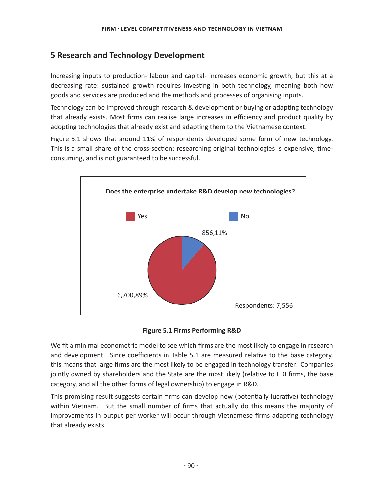# **5 Research and Technology Development**

Increasing inputs to production- labour and capital- increases economic growth, but this at a decreasing rate: sustained growth requires investing in both technology, meaning both how goods and services are produced and the methods and processes of organising inputs.

Technology can be improved through research & development or buying or adapting technology that already exists. Most firms can realise large increases in efficiency and product quality by adopting technologies that already exist and adapting them to the Vietnamese context.

Figure 5.1 shows that around 11% of respondents developed some form of new technology. This is a small share of the cross-section: researching original technologies is expensive, timeconsuming, and is not guaranteed to be successful.



**Figure 5.1 Firms Performing R&D** 

We fit a minimal econometric model to see which firms are the most likely to engage in research and development. Since coefficients in Table 5.1 are measured relative to the base category, this means that large firms are the most likely to be engaged in technology transfer. Companies jointly owned by shareholders and the State are the most likely (relative to FDI firms, the base category, and all the other forms of legal ownership) to engage in R&D.

This promising result suggests certain firms can develop new (potentially lucrative) technology within Vietnam. But the small number of firms that actually do this means the majority of improvements in output per worker will occur through Vietnamese firms adapting technology that already exists.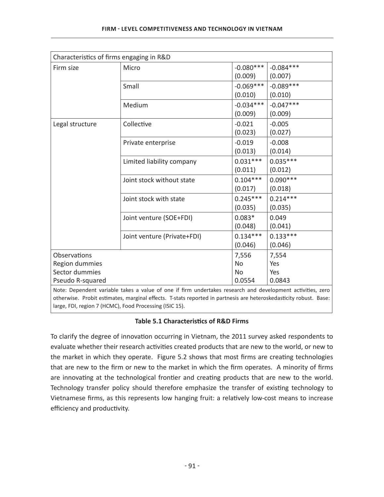| Characteristics of firms engaging in R&D |                             |             |             |
|------------------------------------------|-----------------------------|-------------|-------------|
| Firm size                                | Micro                       | $-0.080***$ | $-0.084***$ |
|                                          |                             | (0.009)     | (0.007)     |
|                                          | Small                       | $-0.069***$ | $-0.089***$ |
|                                          |                             | (0.010)     | (0.010)     |
|                                          | Medium                      | $-0.034***$ | $-0.047***$ |
|                                          |                             | (0.009)     | (0.009)     |
| Legal structure                          | Collective                  | $-0.021$    | $-0.005$    |
|                                          |                             | (0.023)     | (0.027)     |
|                                          | Private enterprise          | $-0.019$    | $-0.008$    |
|                                          |                             | (0.013)     | (0.014)     |
|                                          | Limited liability company   | $0.031***$  | $0.035***$  |
|                                          |                             | (0.011)     | (0.012)     |
|                                          | Joint stock without state   | $0.104***$  | $0.090***$  |
|                                          |                             | (0.017)     | (0.018)     |
|                                          | Joint stock with state      | $0.245***$  | $0.214***$  |
|                                          |                             | (0.035)     | (0.035)     |
|                                          | Joint venture (SOE+FDI)     | $0.083*$    | 0.049       |
|                                          |                             | (0.048)     | (0.041)     |
|                                          | Joint venture (Private+FDI) | $0.134***$  | $0.133***$  |
|                                          |                             | (0.046)     | (0.046)     |
| Observations                             |                             | 7,556       | 7,554       |
| Region dummies                           |                             | <b>No</b>   | Yes         |
| Sector dummies                           |                             | <b>No</b>   | Yes         |
| Pseudo R-squared                         |                             | 0.0554      | 0.0843      |

Note: Dependent variable takes a value of one if firm undertakes research and development activities, zero otherwise. Probit estimates, marginal effects. T-stats reported in partnesis are heteroskedasticity robust. Base: large, FDI, region 7 (HCMC), Food Processing (ISIC 15).

# **Table 5.1 Characteristics of R&D Firms**

To clarify the degree of innovation occurring in Vietnam, the 2011 survey asked respondents to evaluate whether their research activities created products that are new to the world, or new to the market in which they operate. Figure 5.2 shows that most firms are creating technologies that are new to the firm or new to the market in which the firm operates. A minority of firms are innovating at the technological frontier and creating products that are new to the world. Technology transfer policy should therefore emphasize the transfer of existing technology to Vietnamese firms, as this represents low hanging fruit: a relatively low-cost means to increase efficiency and productivity.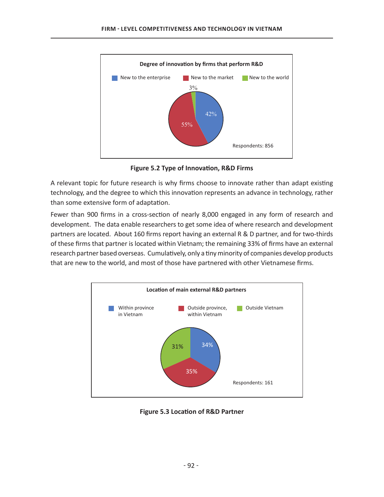

**Figure 5.2 Type of Innovation, R&D Firms** 

A relevant topic for future research is why firms choose to innovate rather than adapt existing technology, and the degree to which this innovation represents an advance in technology, rather than some extensive form of adaptation.

Fewer than 900 firms in a cross-section of nearly 8,000 engaged in any form of research and development. The data enable researchers to get some idea of where research and development partners are located. About 160 firms report having an external R & D partner, and for two-thirds of these firms that partner is located within Vietnam; the remaining 33% of firms have an external research partner based overseas. Cumulatively, only a tiny minority of companies develop products that are new to the world, and most of those have partnered with other Vietnamese firms.



**Figure 5.3 Location of R&D Partner**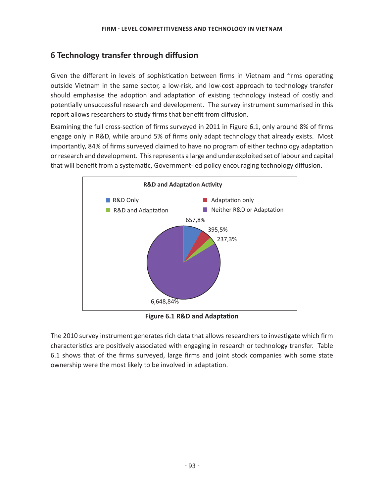# **6 Technology transfer through diffusion**

Given the different in levels of sophistication between firms in Vietnam and firms operating outside Vietnam in the same sector, a low-risk, and low-cost approach to technology transfer should emphasise the adoption and adaptation of existing technology instead of costly and potentially unsuccessful research and development. The survey instrument summarised in this report allows researchers to study firms that benefit from diffusion.

Examining the full cross-section of firms surveyed in 2011 in Figure 6.1, only around 8% of firms engage only in R&D, while around 5% of firms only adapt technology that already exists. Most importantly, 84% of firms surveyed claimed to have no program of either technology adaptation or research and development. This represents a large and underexploited set of labour and capital that will benefit from a systematic, Government-led policy encouraging technology diffusion.



**Figure 6.1 R&D and Adaptation** 

The 2010 survey instrument generates rich data that allows researchers to investigate which firm characteristics are positively associated with engaging in research or technology transfer. Table 6.1 shows that of the firms surveyed, large firms and joint stock companies with some state ownership were the most likely to be involved in adaptation.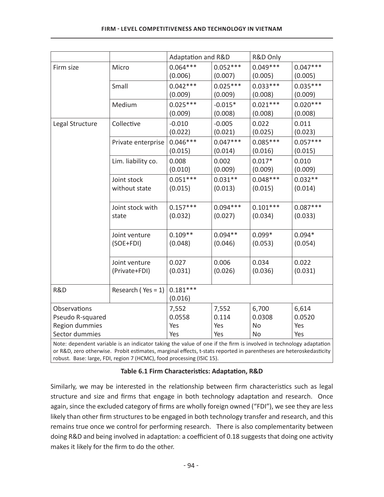|                                                                                                                   |                            | Adaptation and R&D |            | R&D Only   |            |
|-------------------------------------------------------------------------------------------------------------------|----------------------------|--------------------|------------|------------|------------|
| Firm size                                                                                                         | Micro                      | $0.064***$         | $0.052***$ | $0.049***$ | $0.047***$ |
|                                                                                                                   |                            | (0.006)            | (0.007)    | (0.005)    | (0.005)    |
|                                                                                                                   | Small                      | $0.042***$         | $0.025***$ | $0.033***$ | $0.035***$ |
|                                                                                                                   |                            | (0.009)            | (0.009)    | (0.008)    | (0.009)    |
|                                                                                                                   | Medium                     | $0.025***$         | $-0.015*$  | $0.021***$ | $0.020***$ |
|                                                                                                                   |                            | (0.009)            | (0.008)    | (0.008)    | (0.008)    |
| Legal Structure                                                                                                   | Collective                 | $-0.010$           | $-0.005$   | 0.022      | 0.011      |
|                                                                                                                   |                            | (0.022)            | (0.021)    | (0.025)    | (0.023)    |
|                                                                                                                   | Private enterprise         | $0.046***$         | $0.047***$ | $0.085***$ | $0.057***$ |
|                                                                                                                   |                            | (0.015)            | (0.014)    | (0.016)    | (0.015)    |
|                                                                                                                   | Lim. liability co.         | 0.008              | 0.002      | $0.017*$   | 0.010      |
|                                                                                                                   |                            | (0.010)            | (0.009)    | (0.009)    | (0.009)    |
|                                                                                                                   | Joint stock                | $0.051***$         | $0.031**$  | $0.048***$ | $0.032**$  |
|                                                                                                                   | without state              | (0.015)            | (0.013)    | (0.015)    | (0.014)    |
|                                                                                                                   |                            |                    |            |            |            |
|                                                                                                                   | Joint stock with           | $0.157***$         | $0.094***$ | $0.101***$ | $0.087***$ |
|                                                                                                                   | state                      | (0.032)            | (0.027)    | (0.034)    | (0.033)    |
|                                                                                                                   |                            | $0.109**$          | $0.094**$  | $0.099*$   | $0.094*$   |
|                                                                                                                   | Joint venture<br>(SOE+FDI) | (0.048)            | (0.046)    | (0.053)    | (0.054)    |
|                                                                                                                   |                            |                    |            |            |            |
|                                                                                                                   | Joint venture              | 0.027              | 0.006      | 0.034      | 0.022      |
|                                                                                                                   | (Private+FDI)              | (0.031)            | (0.026)    | (0.036)    | (0.031)    |
|                                                                                                                   |                            |                    |            |            |            |
| R&D                                                                                                               | Research ( $Yes = 1$ )     | $0.181***$         |            |            |            |
|                                                                                                                   |                            | (0.016)            |            |            |            |
| Observations                                                                                                      |                            | 7,552              | 7,552      | 6,700      | 6,614      |
| Pseudo R-squared                                                                                                  |                            | 0.0558             | 0.114      | 0.0308     | 0.0520     |
| Region dummies                                                                                                    |                            | Yes                | Yes        | No         | Yes        |
| Sector dummies                                                                                                    |                            | Yes                | Yes        | No         | Yes        |
| Note: dependent variable is an indicator taking the value of one if the firm is involved in technology adaptation |                            |                    |            |            |            |

or R&D, zero otherwise. Probit estimates, marginal effects, t-stats reported in parentheses are heteroskedasticity robust. Base: large, FDI, region 7 (HCMC), food processing (ISIC 15).

# Table 6.1 Firm Characteristics: Adaptation, R&D

Similarly, we may be interested in the relationship between firm characteristics such as legal structure and size and firms that engage in both technology adaptation and research. Once again, since the excluded category of firms are wholly foreign owned ("FDI"), we see they are less likely than other firm structures to be engaged in both technology transfer and research, and this remains true once we control for performing research. There is also complementarity between doing R&D and being involved in adaptation: a coefficient of 0.18 suggests that doing one activity makes it likely for the firm to do the other.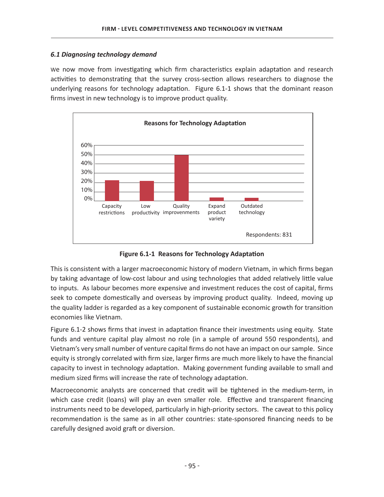## *6.1 Diagnosing technology demand*

We now move from investigating which firm characteristics explain adaptation and research activities to demonstrating that the survey cross-section allows researchers to diagnose the underlying reasons for technology adaptation. Figure 6.1-1 shows that the dominant reason firms invest in new technology is to improve product quality.



**Figure 6.1-1 Reasons for Technology Adaptation** 

This is consistent with a larger macroeconomic history of modern Vietnam, in which firms began by taking advantage of low-cost labour and using technologies that added relatively little value to inputs. As labour becomes more expensive and investment reduces the cost of capital, firms seek to compete domestically and overseas by improving product quality. Indeed, moving up the quality ladder is regarded as a key component of sustainable economic growth for transition economies like Vietnam.

Figure 6.1-2 shows firms that invest in adaptation finance their investments using equity. State funds and venture capital play almost no role (in a sample of around 550 respondents), and Vietnam's very small number of venture capital firms do not have an impact on our sample. Since equity is strongly correlated with firm size, larger firms are much more likely to have the financial capacity to invest in technology adaptation. Making government funding available to small and medium sized firms will increase the rate of technology adaptation.

Macroeconomic analysts are concerned that credit will be tightened in the medium-term, in which case credit (loans) will play an even smaller role. Effective and transparent financing instruments need to be developed, particularly in high-priority sectors. The caveat to this policy recommendation is the same as in all other countries: state-sponsored financing needs to be carefully designed avoid graft or diversion.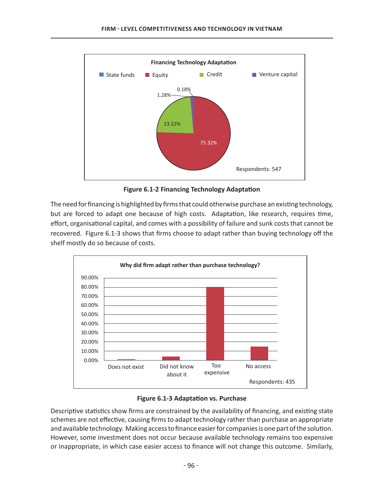

**Figure 6.1-2 Financing Technology Adaptation** 

The need for financing is highlighted by firms that could otherwise purchase an existing technology, but are forced to adapt one because of high costs. Adaptation, like research, requires time, effort, organisational capital, and comes with a possibility of failure and sunk costs that cannot be recovered. Figure 6.1-3 shows that firms choose to adapt rather than buying technology off the shelf mostly do so because of costs.



**Figure 6.1-3 Adaptation vs. Purchase** 

Descriptive statistics show firms are constrained by the availability of financing, and existing state schemes are not effective, causing firms to adapt technology rather than purchase an appropriate and available technology. Making access to finance easier for companies is one part of the solution. However, some investment does not occur because available technology remains too expensive or inappropriate, in which case easier access to finance will not change this outcome. Similarly,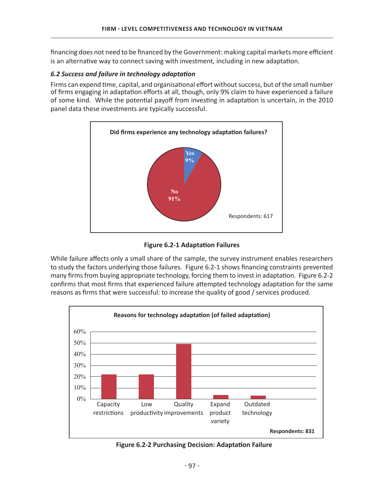financing does not need to be financed by the Government: making capital markets more efficient is an alternative way to connect saving with investment, including in new adaptation.

#### $6.2$  Success and failure in technology adaptation

Firms can expend time, capital, and organisational effort without success, but of the small number of firms engaging in adaptation efforts at all, though, only 9% claim to have experienced a failure of some kind. While the potential payoff from investing in adaptation is uncertain, in the 2010 panel data these investments are typically successful.



**Figure 6.2-1 Adaptation Failures** 

While failure affects only a small share of the sample, the survey instrument enables researchers to study the factors underlying those failures. Figure 6.2-1 shows financing constraints prevented many firms from buying appropriate technology, forcing them to invest in adaptation. Figure 6.2-2 confirms that most firms that experienced failure attempted technology adaptation for the same reasons as firms that were successful: to increase the quality of good / services produced.



Figure 6.2-2 Purchasing Decision: Adaptation Failure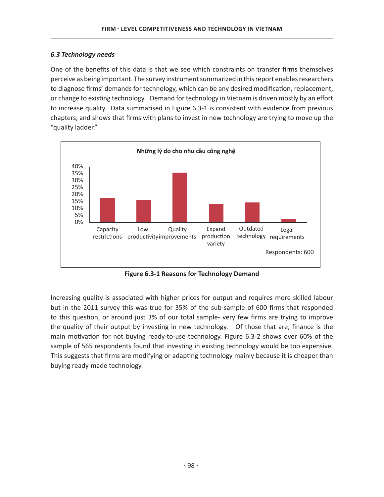## *6.3 Technology needs*

One of the benefits of this data is that we see which constraints on transfer firms themselves perceive as being important. The survey instrument summarized in this report enables researchers to diagnose firms' demands for technology, which can be any desired modification, replacement, or change to existing technology. Demand for technology in Vietnam is driven mostly by an effort to increase quality. Data summarised in Figure 6.3-1 is consistent with evidence from previous chapters, and shows that firms with plans to invest in new technology are trying to move up the "quality ladder."



**Figure 6.3-1 Reasons for Technology Demand** 

Increasing quality is associated with higher prices for output and requires more skilled labour but in the 2011 survey this was true for 35% of the sub-sample of 600 firms that responded to this question, or around just 3% of our total sample- very few firms are trying to improve the quality of their output by investing in new technology. Of those that are, finance is the main motivation for not buying ready-to-use technology. Figure 6.3-2 shows over 60% of the sample of 565 respondents found that investing in existing technology would be too expensive. This suggests that firms are modifying or adapting technology mainly because it is cheaper than buying ready-made technology.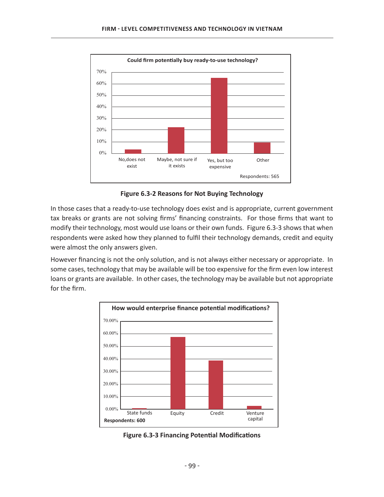

**Figure 6.3-2 Reasons for Not Buying Technology** 

In those cases that a ready-to-use technology does exist and is appropriate, current government tax breaks or grants are not solving firms' financing constraints. For those firms that want to modify their technology, most would use loans or their own funds. Figure 6.3-3 shows that when respondents were asked how they planned to fulfil their technology demands, credit and equity were almost the only answers given.

However financing is not the only solution, and is not always either necessary or appropriate. In some cases, technology that may be available will be too expensive for the firm even low interest loans or grants are available. In other cases, the technology may be available but not appropriate for the firm.



**Figure 6.3-3 Financing Potential Modifications**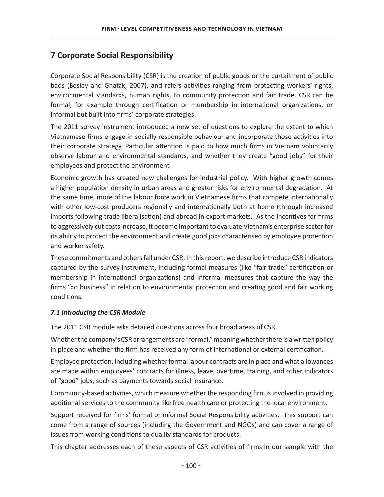# **7 Corporate Social Responsibility**

Corporate Social Responsibility (CSR) is the creation of public goods or the curtailment of public bads (Besley and Ghatak, 2007), and refers activities ranging from protecting workers' rights, environmental standards, human rights, to community protection and fair trade. CSR can be formal, for example through certification or membership in international organizations, or informal but built into firms' corporate strategies.

The 2011 survey instrument introduced a new set of questions to explore the extent to which Vietnamese firms engage in socially responsible behaviour and incorporate those activities into their corporate strategy. Particular attention is paid to how much firms in Vietnam voluntarily observe labour and environmental standards, and whether they create "good jobs" for their employees and protect the environment.

Economic growth has created new challenges for industrial policy. With higher growth comes a higher population density in urban areas and greater risks for environmental degradation. At the same time, more of the labour force work in Vietnamese firms that compete internationally with other low-cost producers regionally and internationally both at home (through increased imports following trade liberalisation) and abroad in export markets. As the incentives for firms to aggressively cut costs increase, it become important to evaluate Vietnam's enterprise sector for its ability to protect the environment and create good jobs characterised by employee protection and worker safety.

These commitments and others fall under CSR. In this report, we describe introduce CSR indicators captured by the survey instrument, including formal measures (like "fair trade" certification or membership in international organizations) and informal measures that capture the way the firms "do business" in relation to environmental protection and creating good and fair working conditions.

# *7.1 Introducing the CSR Module*

The 2011 CSR module asks detailed questions across four broad areas of CSR.

Whether the company's CSR arrangements are "formal," meaning whether there is a written policy in place and whether the firm has received any form of international or external certification.

Employee protection, including whether formal labour contracts are in place and what allowances are made within employees' contracts for illness, leave, overtime, training, and other indicators of "good" jobs, such as payments towards social insurance.

Community-based activities, which measure whether the responding firm is involved in providing additional services to the community like free health care or protecting the local environment.

Support received for firms' formal or informal Social Responsibility activities. This support can come from a range of sources (including the Government and NGOs) and can cover a range of issues from working conditions to quality standards for products.

This chapter addresses each of these aspects of CSR activities of firms in our sample with the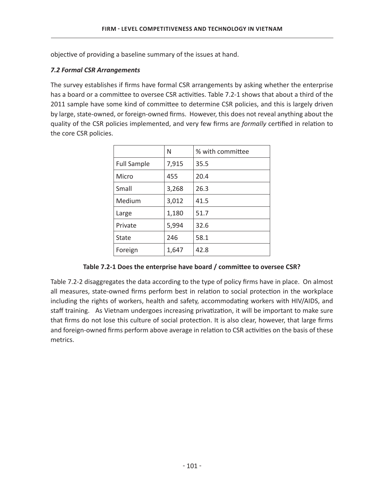objective of providing a baseline summary of the issues at hand.

# *7.2 Formal CSR Arrangements*

The survey establishes if firms have formal CSR arrangements by asking whether the enterprise has a board or a committee to oversee CSR activities. Table 7.2-1 shows that about a third of the 2011 sample have some kind of committee to determine CSR policies, and this is largely driven by large, state-owned, or foreign-owned firms. However, this does not reveal anything about the quality of the CSR policies implemented, and very few firms are *formally* certified in relation to the core CSR policies.

|                    | N     | % with committee |
|--------------------|-------|------------------|
| <b>Full Sample</b> | 7,915 | 35.5             |
| Micro              | 455   | 20.4             |
| Small              | 3,268 | 26.3             |
| Medium             | 3,012 | 41.5             |
| Large              | 1,180 | 51.7             |
| Private            | 5,994 | 32.6             |
| State              | 246   | 58.1             |
| Foreign            | 1,647 | 42.8             |

Table 7.2-1 Does the enterprise have board / committee to oversee CSR?

Table 7.2-2 disaggregates the data according to the type of policy firms have in place. On almost all measures, state-owned firms perform best in relation to social protection in the workplace including the rights of workers, health and safety, accommodating workers with HIV/AIDS, and staff training. As Vietnam undergoes increasing privatization, it will be important to make sure that firms do not lose this culture of social protection. It is also clear, however, that large firms and foreign-owned firms perform above average in relation to CSR activities on the basis of these metrics.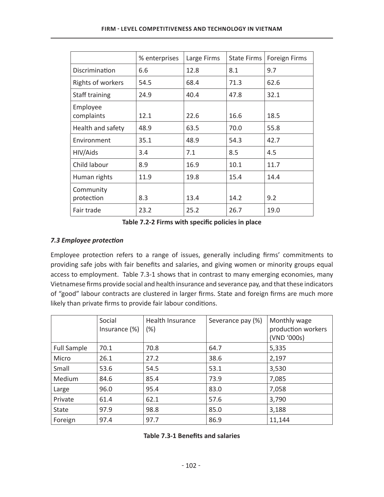|                         | % enterprises | Large Firms | <b>State Firms</b> | Foreign Firms |
|-------------------------|---------------|-------------|--------------------|---------------|
| Discrimination          | 6.6           | 12.8        | 8.1                | 9.7           |
| Rights of workers       | 54.5          | 68.4        | 71.3               | 62.6          |
| Staff training          | 24.9          | 40.4        | 47.8               | 32.1          |
| Employee<br>complaints  | 12.1          | 22.6        | 16.6               | 18.5          |
| Health and safety       | 48.9          | 63.5        | 70.0               | 55.8          |
| Environment             | 35.1          | 48.9        | 54.3               | 42.7          |
| HIV/Aids                | 3.4           | 7.1         | 8.5                | 4.5           |
| Child labour            | 8.9           | 16.9        | 10.1               | 11.7          |
| Human rights            | 11.9          | 19.8        | 15.4               | 14.4          |
| Community<br>protection | 8.3           | 13.4        | 14.2               | 9.2           |
| Fair trade              | 23.2          | 25.2        | 26.7               | 19.0          |

## **7.3 Employee protection**

Employee protection refers to a range of issues, generally including firms' commitments to providing safe jobs with fair benefits and salaries, and giving women or minority groups equal access to employment. Table 7.3-1 shows that in contrast to many emerging economies, many Vietnamese firms provide social and health insurance and severance pay, and that these indicators of "good" labour contracts are clustered in larger firms. State and foreign firms are much more likely than private firms to provide fair labour conditions.

|                    | Social<br>Insurance $(\%)$ | <b>Health Insurance</b><br>$(\%)$ | Severance pay (%) | Monthly wage<br>production workers<br>(VND '000s) |
|--------------------|----------------------------|-----------------------------------|-------------------|---------------------------------------------------|
| <b>Full Sample</b> | 70.1                       | 70.8                              | 64.7              | 5,335                                             |
| Micro              | 26.1                       | 27.2                              | 38.6              | 2,197                                             |
| Small              | 53.6                       | 54.5                              | 53.1              | 3,530                                             |
| Medium             | 84.6                       | 85.4                              | 73.9              | 7,085                                             |
| Large              | 96.0                       | 95.4                              | 83.0              | 7,058                                             |
| Private            | 61.4                       | 62.1                              | 57.6              | 3,790                                             |
| State              | 97.9                       | 98.8                              | 85.0              | 3,188                                             |
| Foreign            | 97.4                       | 97.7                              | 86.9              | 11,144                                            |

| Table 7.3-1 Benefits and salaries |  |  |  |
|-----------------------------------|--|--|--|
|-----------------------------------|--|--|--|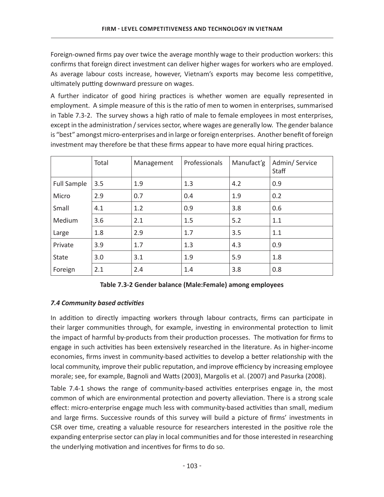Foreign-owned firms pay over twice the average monthly wage to their production workers: this confirms that foreign direct investment can deliver higher wages for workers who are employed. As average labour costs increase, however, Vietnam's exports may become less competitive, ultimately putting downward pressure on wages.

A further indicator of good hiring practices is whether women are equally represented in employment. A simple measure of this is the ratio of men to women in enterprises, summarised in Table 7.3-2. The survey shows a high ratio of male to female employees in most enterprises, except in the administration / services sector, where wages are generally low. The gender balance is "best" amongst micro-enterprises and in large or foreign enterprises. Another benefit of foreign investment may therefore be that these firms appear to have more equal hiring practices.

|                    | Total | Management | Professionals | Manufact'g | Admin/Service<br>Staff |
|--------------------|-------|------------|---------------|------------|------------------------|
| <b>Full Sample</b> | 3.5   | 1.9        | 1.3           | 4.2        | 0.9                    |
| Micro              | 2.9   | 0.7        | 0.4           | 1.9        | 0.2                    |
| Small              | 4.1   | 1.2        | 0.9           | 3.8        | 0.6                    |
| Medium             | 3.6   | 2.1        | 1.5           | 5.2        | 1.1                    |
| Large              | 1.8   | 2.9        | 1.7           | 3.5        | 1.1                    |
| Private            | 3.9   | 1.7        | 1.3           | 4.3        | 0.9                    |
| <b>State</b>       | 3.0   | 3.1        | 1.9           | 5.9        | 1.8                    |
| Foreign            | 2.1   | 2.4        | 1.4           | 3.8        | 0.8                    |

# **7.4 Community based activities**

In addition to directly impacting workers through labour contracts, firms can participate in their larger communities through, for example, investing in environmental protection to limit the impact of harmful by-products from their production processes. The motivation for firms to engage in such activities has been extensively researched in the literature. As in higher-income economies, firms invest in community-based activities to develop a better relationship with the local community, improve their public reputation, and improve efficiency by increasing employee morale; see, for example, Bagnoli and Watts (2003), Margolis et al. (2007) and Pasurka (2008).

Table 7.4-1 shows the range of community-based activities enterprises engage in, the most common of which are environmental protection and poverty alleviation. There is a strong scale effect: micro-enterprise engage much less with community-based activities than small, medium and large firms. Successive rounds of this survey will build a picture of firms' investments in CSR over time, creating a valuable resource for researchers interested in the positive role the expanding enterprise sector can play in local communities and for those interested in researching the underlying motivation and incentives for firms to do so.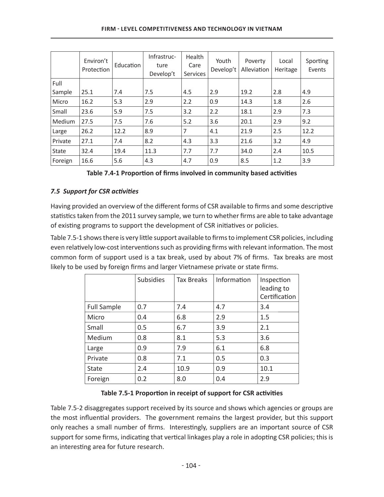|              | Environ't<br>Protection | Education | Infrastruc-<br>ture<br>Develop't | Health<br>Care<br><b>Services</b> | Youth<br>Develop't | Poverty<br>Alleviation | Local<br>Heritage | Sporting<br>Events |
|--------------|-------------------------|-----------|----------------------------------|-----------------------------------|--------------------|------------------------|-------------------|--------------------|
| Full         |                         |           |                                  |                                   |                    |                        |                   |                    |
| Sample       | 25.1                    | 7.4       | 7.5                              | 4.5                               | 2.9                | 19.2                   | 2.8               | 4.9                |
| Micro        | 16.2                    | 5.3       | 2.9                              | 2.2                               | 0.9                | 14.3                   | 1.8               | 2.6                |
| Small        | 23.6                    | 5.9       | 7.5                              | 3.2                               | 2.2                | 18.1                   | 2.9               | 7.3                |
| Medium       | 27.5                    | 7.5       | 7.6                              | 5.2                               | 3.6                | 20.1                   | 2.9               | 9.2                |
| Large        | 26.2                    | 12.2      | 8.9                              | 7                                 | 4.1                | 21.9                   | 2.5               | 12.2               |
| Private      | 27.1                    | 7.4       | 8.2                              | 4.3                               | 3.3                | 21.6                   | 3.2               | 4.9                |
| <b>State</b> | 32.4                    | 19.4      | 11.3                             | 7.7                               | 7.7                | 34.0                   | 2.4               | 10.5               |
| Foreign      | 16.6                    | 5.6       | 4.3                              | 4.7                               | 0.9                | 8.5                    | 1.2               | 3.9                |

Table 7.4-1 Proportion of firms involved in community based activities

# 7.5 Support for CSR activities

Having provided an overview of the different forms of CSR available to firms and some descriptive statistics taken from the 2011 survey sample, we turn to whether firms are able to take advantage of existing programs to support the development of CSR initiatives or policies.

Table 7.5-1 shows there is very little support available to firms to implement CSR policies, including even relatively low-cost interventions such as providing firms with relevant information. The most common form of support used is a tax break, used by about 7% of firms. Tax breaks are most likely to be used by foreign firms and larger Vietnamese private or state firms.

|                    | <b>Subsidies</b> | <b>Tax Breaks</b> | Information | Inspection<br>leading to<br>Certification |
|--------------------|------------------|-------------------|-------------|-------------------------------------------|
| <b>Full Sample</b> | 0.7              | 7.4               | 4.7         | 3.4                                       |
| Micro              | 0.4              | 6.8               | 2.9         | 1.5                                       |
| Small              | 0.5              | 6.7               | 3.9         | 2.1                                       |
| Medium             | 0.8              | 8.1               | 5.3         | 3.6                                       |
| Large              | 0.9              | 7.9               | 6.1         | 6.8                                       |
| Private            | 0.8              | 7.1               | 0.5         | 0.3                                       |
| <b>State</b>       | 2.4              | 10.9              | 0.9         | 10.1                                      |
| Foreign            | 0.2              | 8.0               | 0.4         | 2.9                                       |

# Table 7.5-1 Proportion in receipt of support for CSR activities

Table 7.5-2 disaggregates support received by its source and shows which agencies or groups are the most influential providers. The government remains the largest provider, but this support only reaches a small number of firms. Interestingly, suppliers are an important source of CSR support for some firms, indicating that vertical linkages play a role in adopting CSR policies; this is an interesting area for future research.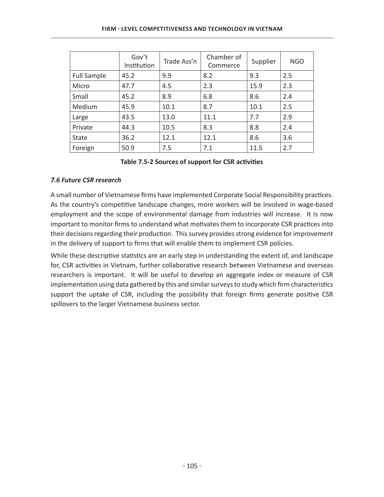|                    | Gov't<br>Institution | Trade Ass'n | Chamber of<br>Commerce | Supplier | <b>NGO</b> |
|--------------------|----------------------|-------------|------------------------|----------|------------|
| <b>Full Sample</b> | 45.2                 | 9.9         | 8.2                    | 9.3      | 2.5        |
| Micro              | 47.7                 | 4.5         | 2.3                    | 15.9     | 2.3        |
| Small              | 45.2                 | 8.9         | 6.8                    | 8.6      | 2.4        |
| Medium             | 45.9                 | 10.1        | 8.7                    | 10.1     | 2.5        |
| Large              | 43.5                 | 13.0        | 11.1                   | 7.7      | 2.9        |
| Private            | 44.3                 | 10.5        | 8.3                    | 8.8      | 2.4        |
| State              | 36.2                 | 12.1        | 12.1                   | 8.6      | 3.6        |
| Foreign            | 50.9                 | 7.5         | 7.1                    | 11.5     | 2.7        |

#### Table 7.5-2 Sources of support for CSR activities

## *7.6 Future CSR research*

A small number of Vietnamese firms have implemented Corporate Social Responsibility practices. As the country's competitive landscape changes, more workers will be involved in wage-based employment and the scope of environmental damage from industries will increase. It is now important to monitor firms to understand what motivates them to incorporate CSR practices into their decisions regarding their production. This survey provides strong evidence for improvement in the delivery of support to firms that will enable them to implement CSR policies.

While these descriptive statistics are an early step in understanding the extent of, and landscape for, CSR activities in Vietnam, further collaborative research between Vietnamese and overseas researchers is important. It will be useful to develop an aggregate index or measure of CSR implementation using data gathered by this and similar surveys to study which firm characteristics support the uptake of CSR, including the possibility that foreign firms generate positive CSR spillovers to the larger Vietnamese business sector.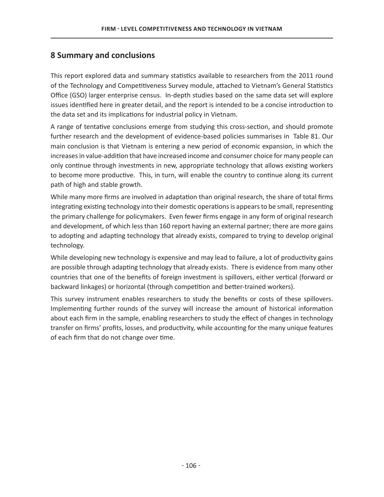# **8 Summary and conclusions**

This report explored data and summary statistics available to researchers from the 2011 round of the Technology and Competitiveness Survey module, attached to Vietnam's General Statistics Office (GSO) larger enterprise census. In-depth studies based on the same data set will explore issues identified here in greater detail, and the report is intended to be a concise introduction to the data set and its implications for industrial policy in Vietnam.

A range of tentative conclusions emerge from studying this cross-section, and should promote further research and the development of evidence-based policies summarises in Table 81. Our main conclusion is that Vietnam is entering a new period of economic expansion, in which the increases in value-addition that have increased income and consumer choice for many people can only continue through investments in new, appropriate technology that allows existing workers to become more productive. This, in turn, will enable the country to continue along its current path of high and stable growth.

While many more firms are involved in adaptation than original research, the share of total firms integrating existing technology into their domestic operations is appears to be small, representing the primary challenge for policymakers. Even fewer firms engage in any form of original research and development, of which less than 160 report having an external partner; there are more gains to adopting and adapting technology that already exists, compared to trying to develop original technology.

While developing new technology is expensive and may lead to failure, a lot of productivity gains are possible through adapting technology that already exists. There is evidence from many other countries that one of the benefits of foreign investment is spillovers, either vertical (forward or backward linkages) or horizontal (through competition and better-trained workers).

This survey instrument enables researchers to study the benefits or costs of these spillovers. Implementing further rounds of the survey will increase the amount of historical information about each firm in the sample, enabling researchers to study the effect of changes in technology transfer on firms' profits, losses, and productivity, while accounting for the many unique features of each firm that do not change over time.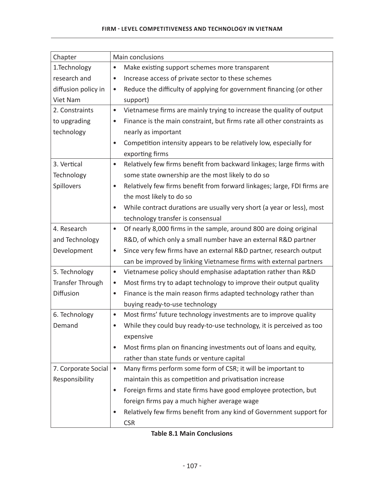#### **FIRM - LEVEL COMPETITIVENESS AND TECHNOLOGY IN VIETNAM**

| Chapter                 | Main conclusions                                                                      |
|-------------------------|---------------------------------------------------------------------------------------|
| 1.Technology            | Make existing support schemes more transparent<br>$\bullet$                           |
| research and            | Increase access of private sector to these schemes<br>٠                               |
| diffusion policy in     | Reduce the difficulty of applying for government financing (or other<br>$\bullet$     |
| Viet Nam                | support)                                                                              |
| 2. Constraints          | Vietnamese firms are mainly trying to increase the quality of output<br>$\bullet$     |
| to upgrading            | Finance is the main constraint, but firms rate all other constraints as<br>$\bullet$  |
| technology              | nearly as important                                                                   |
|                         | Competition intensity appears to be relatively low, especially for<br>$\bullet$       |
|                         | exporting firms                                                                       |
| 3. Vertical             | Relatively few firms benefit from backward linkages; large firms with<br>$\bullet$    |
| Technology              | some state ownership are the most likely to do so                                     |
| Spillovers              | Relatively few firms benefit from forward linkages; large, FDI firms are<br>$\bullet$ |
|                         | the most likely to do so                                                              |
|                         | While contract durations are usually very short (a year or less), most<br>$\bullet$   |
|                         | technology transfer is consensual                                                     |
| 4. Research             | Of nearly 8,000 firms in the sample, around 800 are doing original<br>$\bullet$       |
| and Technology          | R&D, of which only a small number have an external R&D partner                        |
| Development             | Since very few firms have an external R&D partner, research output<br>$\bullet$       |
|                         | can be improved by linking Vietnamese firms with external partners                    |
| 5. Technology           | Vietnamese policy should emphasise adaptation rather than R&D<br>$\bullet$            |
| <b>Transfer Through</b> | Most firms try to adapt technology to improve their output quality<br>$\bullet$       |
| Diffusion               | Finance is the main reason firms adapted technology rather than<br>$\bullet$          |
|                         | buying ready-to-use technology                                                        |
| 6. Technology           | Most firms' future technology investments are to improve quality<br>$\bullet$         |
| Demand                  | While they could buy ready-to-use technology, it is perceived as too                  |
|                         | expensive                                                                             |
|                         | Most firms plan on financing investments out of loans and equity,<br>$\bullet$        |
|                         | rather than state funds or venture capital                                            |
| 7. Corporate Social     | Many firms perform some form of CSR; it will be important to<br>$\bullet$             |
| Responsibility          | maintain this as competition and privatisation increase                               |
|                         | Foreign firms and state firms have good employee protection, but<br>٠                 |
|                         | foreign firms pay a much higher average wage                                          |
|                         | Relatively few firms benefit from any kind of Government support for                  |
|                         | <b>CSR</b>                                                                            |

**Table 8.1 Main Conclusions**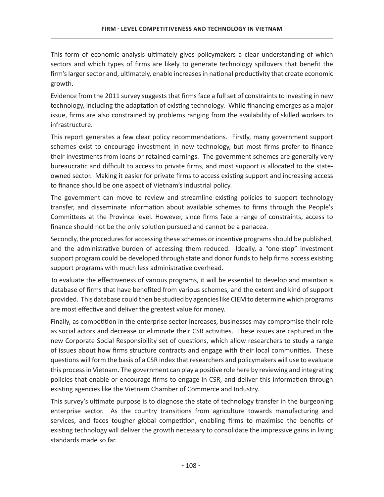This form of economic analysis ultimately gives policymakers a clear understanding of which sectors and which types of firms are likely to generate technology spillovers that benefit the firm's larger sector and, ultimately, enable increases in national productivity that create economic growth.

Evidence from the 2011 survey suggests that firms face a full set of constraints to investing in new technology, including the adaptation of existing technology. While financing emerges as a major issue, firms are also constrained by problems ranging from the availability of skilled workers to infrastructure.

This report generates a few clear policy recommendations. Firstly, many government support schemes exist to encourage investment in new technology, but most firms prefer to finance their investments from loans or retained earnings. The government schemes are generally very bureaucratic and difficult to access to private firms, and most support is allocated to the stateowned sector. Making it easier for private firms to access existing support and increasing access to finance should be one aspect of Vietnam's industrial policy.

The government can move to review and streamline existing policies to support technology transfer, and disseminate information about available schemes to firms through the People's Committees at the Province level. However, since firms face a range of constraints, access to finance should not be the only solution pursued and cannot be a panacea.

Secondly, the procedures for accessing these schemes or incentive programs should be published, and the administrative burden of accessing them reduced. Ideally, a "one-stop" investment support program could be developed through state and donor funds to help firms access existing support programs with much less administrative overhead.

To evaluate the effectiveness of various programs, it will be essential to develop and maintain a database of firms that have benefited from various schemes, and the extent and kind of support provided. This database could then be studied by agencies like CIEM to determine which programs are most effective and deliver the greatest value for money.

Finally, as competition in the enterprise sector increases, businesses may compromise their role as social actors and decrease or eliminate their CSR activities. These issues are captured in the new Corporate Social Responsibility set of questions, which allow researchers to study a range of issues about how firms structure contracts and engage with their local communities. These questions will form the basis of a CSR index that researchers and policymakers will use to evaluate this process in Vietnam. The government can play a positive role here by reviewing and integrating policies that enable or encourage firms to engage in CSR, and deliver this information through existing agencies like the Vietnam Chamber of Commerce and Industry.

This survey's ultimate purpose is to diagnose the state of technology transfer in the burgeoning enterprise sector. As the country transitions from agriculture towards manufacturing and services, and faces tougher global competition, enabling firms to maximise the benefits of existing technology will deliver the growth necessary to consolidate the impressive gains in living standards made so far.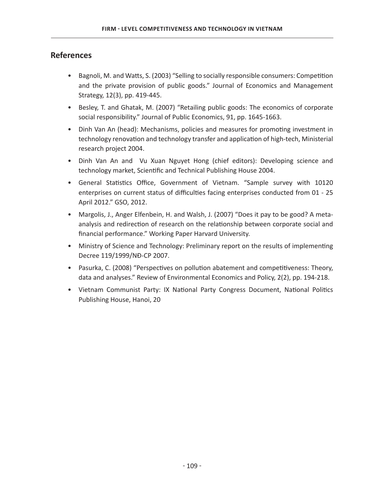# **References**

- Bagnoli, M. and Watts, S. (2003) "Selling to socially responsible consumers: Competition and the private provision of public goods." Journal of Economics and Management Strategy, 12(3), pp. 419-445.
- Besley, T. and Ghatak, M. (2007) "Retailing public goods: The economics of corporate social responsibility." Journal of Public Economics, 91, pp. 1645-1663.
- Dinh Van An (head): Mechanisms, policies and measures for promoting investment in technology renovation and technology transfer and application of high-tech, Ministerial research project 2004.
- Dinh Van An and Vu Xuan Nguyet Hong (chief editors): Developing science and technology market, Scientific and Technical Publishing House 2004.
- General Statistics Office, Government of Vietnam. "Sample survey with 10120 enterprises on current status of difficulties facing enterprises conducted from 01 - 25 April 2012." GSO, 2012.
- Margolis, J., Anger Elfenbein, H. and Walsh, J. (2007) "Does it pay to be good? A metaanalysis and redirection of research on the relationship between corporate social and financial performance." Working Paper Harvard University.
- Ministry of Science and Technology: Preliminary report on the results of implementing Decree 119/1999/NĐ-CP 2007.
- Pasurka, C. (2008) "Perspectives on pollution abatement and competitiveness: Theory, data and analyses." Review of Environmental Economics and Policy, 2(2), pp. 194-218.
- Vietnam Communist Party: IX National Party Congress Document, National Politics Publishing House, Hanoi, 20